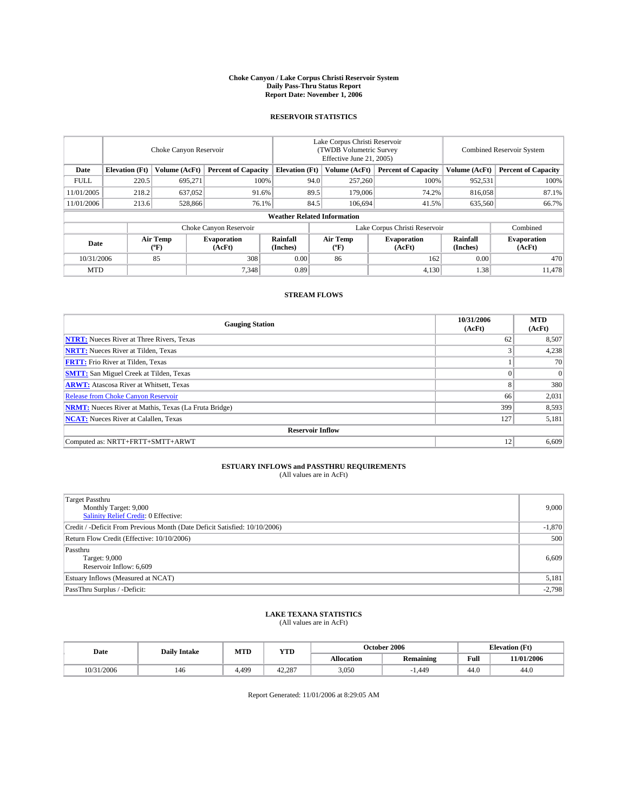#### **Choke Canyon / Lake Corpus Christi Reservoir System Daily Pass-Thru Status Report Report Date: November 1, 2006**

#### **RESERVOIR STATISTICS**

|             | Choke Canyon Reservoir             |                  |                              |                             | Lake Corpus Christi Reservoir<br>(TWDB Volumetric Survey<br>Effective June 21, 2005) |                  |                               |                      | <b>Combined Reservoir System</b> |  |  |  |
|-------------|------------------------------------|------------------|------------------------------|-----------------------------|--------------------------------------------------------------------------------------|------------------|-------------------------------|----------------------|----------------------------------|--|--|--|
| Date        | <b>Elevation</b> (Ft)              | Volume (AcFt)    | <b>Percent of Capacity</b>   | <b>Elevation</b> (Ft)       |                                                                                      | Volume (AcFt)    | <b>Percent of Capacity</b>    | Volume (AcFt)        | <b>Percent of Capacity</b>       |  |  |  |
| <b>FULL</b> | 220.5                              | 695.271          | 100%                         |                             | 94.0                                                                                 | 257,260          | 100%                          | 952,531              | 100%                             |  |  |  |
| 11/01/2005  | 218.2                              | 637,052          |                              | 89.5<br>91.6%               |                                                                                      | 179,006          | 74.2%                         | 816,058              | 87.1%                            |  |  |  |
| 11/01/2006  | 213.6                              | 528,866          | 76.1%                        |                             | 84.5                                                                                 | 106,694          | 41.5%                         | 635,560              | 66.7%                            |  |  |  |
|             | <b>Weather Related Information</b> |                  |                              |                             |                                                                                      |                  |                               |                      |                                  |  |  |  |
|             |                                    |                  | Choke Canyon Reservoir       |                             |                                                                                      |                  | Lake Corpus Christi Reservoir |                      | Combined                         |  |  |  |
| Date        |                                    | Air Temp<br>(°F) | <b>Evaporation</b><br>(AcFt) | <b>Rainfall</b><br>(Inches) |                                                                                      | Air Temp<br>("F) | <b>Evaporation</b><br>(AcFt)  | Rainfall<br>(Inches) | <b>Evaporation</b><br>(AcFt)     |  |  |  |
| 10/31/2006  |                                    | 85               | 308                          | 0.00                        |                                                                                      | 86               | 162                           | 0.00                 | 470                              |  |  |  |
| <b>MTD</b>  |                                    |                  | 7,348                        | 0.89                        |                                                                                      |                  | 4,130                         | 1.38                 | 11,478                           |  |  |  |

## **STREAM FLOWS**

| <b>Gauging Station</b>                                       | 10/31/2006<br>(AcFt) | <b>MTD</b><br>(AcFt) |
|--------------------------------------------------------------|----------------------|----------------------|
| <b>NTRT:</b> Nueces River at Three Rivers, Texas             | 62                   | 8,507                |
| <b>NRTT:</b> Nueces River at Tilden, Texas                   |                      | 4,238                |
| <b>FRTT:</b> Frio River at Tilden, Texas                     |                      | 70                   |
| <b>SMTT:</b> San Miguel Creek at Tilden, Texas               | $\theta$             | $\overline{0}$       |
| <b>ARWT:</b> Atascosa River at Whitsett, Texas               | 8                    | 380                  |
| <b>Release from Choke Canyon Reservoir</b>                   | 66                   | 2,031                |
| <b>NRMT:</b> Nueces River at Mathis, Texas (La Fruta Bridge) | 399                  | 8,593                |
| <b>NCAT:</b> Nueces River at Calallen, Texas                 | 127                  | 5,181                |
| <b>Reservoir Inflow</b>                                      |                      |                      |
| Computed as: NRTT+FRTT+SMTT+ARWT                             | 12                   | 6,609                |

# **ESTUARY INFLOWS and PASSTHRU REQUIREMENTS**<br>(All values are in AcFt)

| Target Passthru<br>Monthly Target: 9,000<br>Salinity Relief Credit: 0 Effective: | 9,000    |
|----------------------------------------------------------------------------------|----------|
| Credit / -Deficit From Previous Month (Date Deficit Satisfied: 10/10/2006)       | $-1,870$ |
| Return Flow Credit (Effective: 10/10/2006)                                       | 500      |
| Passthru<br>Target: 9,000<br>Reservoir Inflow: 6,609                             | 6,609    |
| Estuary Inflows (Measured at NCAT)                                               | 5,181    |
| PassThru Surplus / -Deficit:                                                     | $-2,798$ |

# **LAKE TEXANA STATISTICS** (All values are in AcFt)

|  | Date       | <b>Daily Intake</b> | MTT   | YTD<br>MIL |            | October 2006     |      | <b>Elevation</b> (Ft) |  |
|--|------------|---------------------|-------|------------|------------|------------------|------|-----------------------|--|
|  |            |                     |       |            | Allocation | <b>Remaining</b> | Full | 11/01/2006            |  |
|  | 10/31/2006 | 140                 | 1.499 | 42.287     | 3,050      | 1.449            | 44.0 | 44.0                  |  |

Report Generated: 11/01/2006 at 8:29:05 AM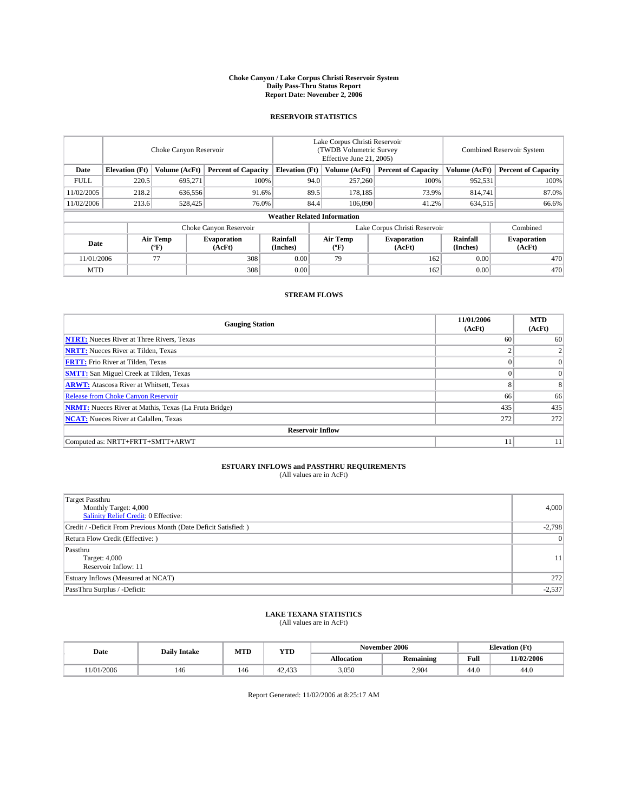#### **Choke Canyon / Lake Corpus Christi Reservoir System Daily Pass-Thru Status Report Report Date: November 2, 2006**

#### **RESERVOIR STATISTICS**

|             | Choke Canyon Reservoir             |                  |                              |                       | Lake Corpus Christi Reservoir<br>(TWDB Volumetric Survey<br>Effective June 21, 2005) |                  |                               |                      | <b>Combined Reservoir System</b> |  |  |
|-------------|------------------------------------|------------------|------------------------------|-----------------------|--------------------------------------------------------------------------------------|------------------|-------------------------------|----------------------|----------------------------------|--|--|
| Date        | <b>Elevation</b> (Ft)              | Volume (AcFt)    | <b>Percent of Capacity</b>   | <b>Elevation</b> (Ft) |                                                                                      | Volume (AcFt)    | <b>Percent of Capacity</b>    | Volume (AcFt)        | <b>Percent of Capacity</b>       |  |  |
| <b>FULL</b> | 220.5                              | 695.271          | 100%                         |                       | 94.0                                                                                 | 257,260          | 100%                          | 952,531              | 100%                             |  |  |
| 11/02/2005  | 218.2                              | 636,556          | 91.6%                        |                       | 89.5                                                                                 | 178.185          | 73.9%                         | 814.741              | 87.0%                            |  |  |
| 11/02/2006  | 213.6                              | 528,425          | 76.0%                        |                       | 84.4                                                                                 | 106,090          | 41.2%                         | 634,515              | 66.6%                            |  |  |
|             | <b>Weather Related Information</b> |                  |                              |                       |                                                                                      |                  |                               |                      |                                  |  |  |
|             |                                    |                  | Choke Canyon Reservoir       |                       |                                                                                      |                  | Lake Corpus Christi Reservoir |                      | Combined                         |  |  |
| Date        |                                    | Air Temp<br>(°F) | <b>Evaporation</b><br>(AcFt) | Rainfall<br>(Inches)  |                                                                                      | Air Temp<br>("F) | <b>Evaporation</b><br>(AcFt)  | Rainfall<br>(Inches) | <b>Evaporation</b><br>(AcFt)     |  |  |
| 11/01/2006  |                                    | 77               | 308                          | 0.00                  |                                                                                      | 79               | 162                           | 0.00                 | 470                              |  |  |
| <b>MTD</b>  |                                    |                  | 308                          | 0.00                  |                                                                                      |                  | 162                           | 0.00                 | 470                              |  |  |

## **STREAM FLOWS**

| <b>Gauging Station</b>                                       | 11/01/2006<br>(AcFt) | <b>MTD</b><br>(AcFt) |
|--------------------------------------------------------------|----------------------|----------------------|
| <b>NTRT:</b> Nueces River at Three Rivers, Texas             | 60                   | 60                   |
| <b>NRTT:</b> Nueces River at Tilden, Texas                   |                      |                      |
| <b>FRTT:</b> Frio River at Tilden, Texas                     | $\Omega$             | $\Omega$             |
| <b>SMTT:</b> San Miguel Creek at Tilden, Texas               | $\theta$             | $\Omega$             |
| <b>ARWT:</b> Atascosa River at Whitsett, Texas               | 8                    | 8                    |
| <b>Release from Choke Canyon Reservoir</b>                   | 66                   | 66                   |
| <b>NRMT:</b> Nueces River at Mathis, Texas (La Fruta Bridge) | 435                  | 435                  |
| <b>NCAT:</b> Nueces River at Calallen, Texas                 | 272                  | 272                  |
| <b>Reservoir Inflow</b>                                      |                      |                      |
| Computed as: NRTT+FRTT+SMTT+ARWT                             | 11                   | 11                   |

# **ESTUARY INFLOWS and PASSTHRU REQUIREMENTS**<br>(All values are in AcFt)

| Target Passthru<br>Monthly Target: 4,000<br>Salinity Relief Credit: 0 Effective: | 4,000          |
|----------------------------------------------------------------------------------|----------------|
| Credit / -Deficit From Previous Month (Date Deficit Satisfied: )                 | $-2,798$       |
| Return Flow Credit (Effective:)                                                  | $\overline{0}$ |
| Passthru<br>Target: 4,000<br>Reservoir Inflow: 11                                | 11             |
| Estuary Inflows (Measured at NCAT)                                               | 272            |
| PassThru Surplus / -Deficit:                                                     | $-2,537$       |

#### **LAKE TEXANA STATISTICS** (All values are in AcFt)

| Date          | <b>Daily Intake</b> | MTD<br><b>YTD</b> |               |            | November 2006    | <b>Elevation</b> (Ft) |                |
|---------------|---------------------|-------------------|---------------|------------|------------------|-----------------------|----------------|
|               |                     |                   |               | Allocation | <b>Remaining</b> | Full                  | 11/02/2006     |
| /2006<br>1/01 | 146                 | 146               | 422<br>42.433 | 3,050      | 2.904            | 44.0                  | $\sim$<br>44.V |

Report Generated: 11/02/2006 at 8:25:17 AM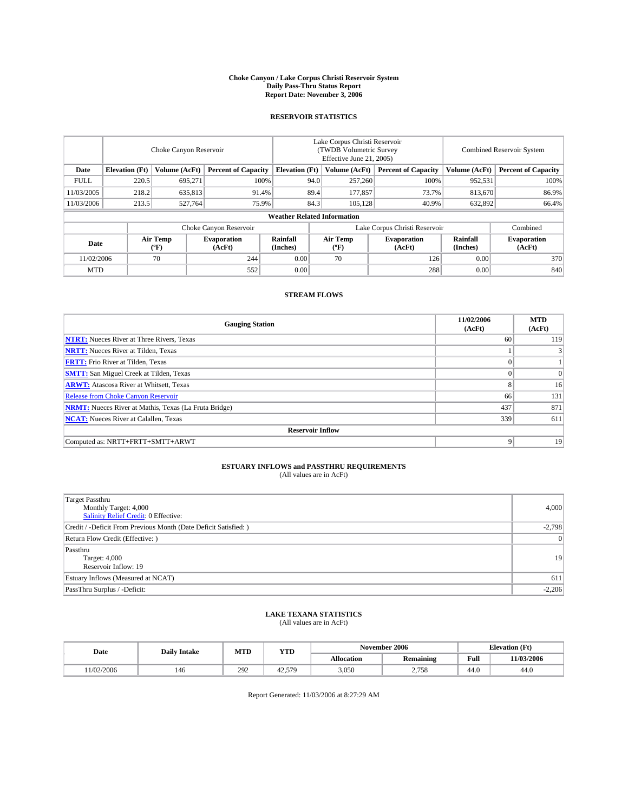#### **Choke Canyon / Lake Corpus Christi Reservoir System Daily Pass-Thru Status Report Report Date: November 3, 2006**

#### **RESERVOIR STATISTICS**

|             | Choke Canyon Reservoir             |                  |                              |                       | Lake Corpus Christi Reservoir<br>(TWDB Volumetric Survey<br>Effective June 21, 2005) |                  |                               |                      | <b>Combined Reservoir System</b> |  |  |  |
|-------------|------------------------------------|------------------|------------------------------|-----------------------|--------------------------------------------------------------------------------------|------------------|-------------------------------|----------------------|----------------------------------|--|--|--|
| Date        | <b>Elevation</b> (Ft)              | Volume (AcFt)    | <b>Percent of Capacity</b>   | <b>Elevation</b> (Ft) |                                                                                      | Volume (AcFt)    | <b>Percent of Capacity</b>    | Volume (AcFt)        | <b>Percent of Capacity</b>       |  |  |  |
| <b>FULL</b> | 220.5                              | 695.271          | 100%                         |                       | 94.0                                                                                 | 257,260          | 100%                          | 952,531              | 100%                             |  |  |  |
| 11/03/2005  | 218.2                              | 635,813          | 91.4%                        |                       | 89.4                                                                                 | 177,857          | 73.7%                         | 813.670              | 86.9%                            |  |  |  |
| 11/03/2006  | 213.5                              | 527,764          | 75.9%                        |                       | 84.3                                                                                 | 105.128          | 40.9%                         | 632,892              | 66.4%                            |  |  |  |
|             | <b>Weather Related Information</b> |                  |                              |                       |                                                                                      |                  |                               |                      |                                  |  |  |  |
|             |                                    |                  | Choke Canyon Reservoir       |                       |                                                                                      |                  | Lake Corpus Christi Reservoir |                      | Combined                         |  |  |  |
| Date        |                                    | Air Temp<br>(°F) | <b>Evaporation</b><br>(AcFt) | Rainfall<br>(Inches)  |                                                                                      | Air Temp<br>("F) | <b>Evaporation</b><br>(AcFt)  | Rainfall<br>(Inches) | <b>Evaporation</b><br>(AcFt)     |  |  |  |
| 11/02/2006  |                                    | 70               | 244                          | 0.00                  |                                                                                      | 70               | 126                           | 0.00                 | 370                              |  |  |  |
| <b>MTD</b>  |                                    |                  | 552                          | 0.00                  |                                                                                      |                  | 288                           | 0.00                 | 840                              |  |  |  |

## **STREAM FLOWS**

| <b>Gauging Station</b>                                       | 11/02/2006<br>(AcFt) | <b>MTD</b><br>(AcFt) |
|--------------------------------------------------------------|----------------------|----------------------|
| <b>NTRT:</b> Nueces River at Three Rivers, Texas             | 60                   | 119                  |
| <b>NRTT:</b> Nueces River at Tilden, Texas                   |                      | 3                    |
| <b>FRTT:</b> Frio River at Tilden, Texas                     | $\Omega$             |                      |
| <b>SMTT:</b> San Miguel Creek at Tilden, Texas               | $\theta$             | $\overline{0}$       |
| <b>ARWT:</b> Atascosa River at Whitsett, Texas               | 8                    | 16                   |
| <b>Release from Choke Canyon Reservoir</b>                   | 66                   | 131                  |
| <b>NRMT:</b> Nueces River at Mathis, Texas (La Fruta Bridge) | 437                  | 871                  |
| <b>NCAT:</b> Nueces River at Calallen, Texas                 | 339                  | 611                  |
| <b>Reservoir Inflow</b>                                      |                      |                      |
| Computed as: NRTT+FRTT+SMTT+ARWT                             | 9                    | 19                   |

# **ESTUARY INFLOWS and PASSTHRU REQUIREMENTS**<br>(All values are in AcFt)

| Target Passthru<br>Monthly Target: 4,000<br>Salinity Relief Credit: 0 Effective: | 4,000          |
|----------------------------------------------------------------------------------|----------------|
| Credit / -Deficit From Previous Month (Date Deficit Satisfied: )                 | $-2,798$       |
| Return Flow Credit (Effective:)                                                  | $\overline{0}$ |
| Passthru<br>Target: 4,000<br>Reservoir Inflow: 19                                | 19             |
| Estuary Inflows (Measured at NCAT)                                               | 611            |
| PassThru Surplus / -Deficit:                                                     | $-2,206$       |

# **LAKE TEXANA STATISTICS** (All values are in AcFt)

|  | Date      |     | MTT<br><b>Daily Intake</b><br>IVI I L |              |                   | November 2006    | <b>Elevation (Ft)</b> |            |
|--|-----------|-----|---------------------------------------|--------------|-------------------|------------------|-----------------------|------------|
|  |           |     |                                       | YTD          | <b>Allocation</b> | <b>Remaining</b> | Full                  | 11/03/2006 |
|  | 1/02/2006 | 140 | 292                                   | 570<br>42.57 | 3,050             | 270<br>2.130     | 44.0                  | 44.0       |

Report Generated: 11/03/2006 at 8:27:29 AM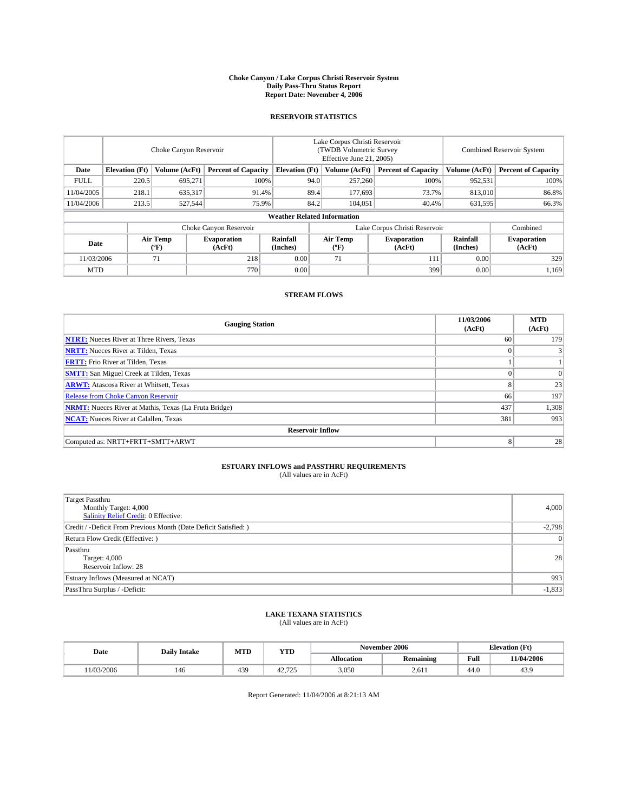#### **Choke Canyon / Lake Corpus Christi Reservoir System Daily Pass-Thru Status Report Report Date: November 4, 2006**

#### **RESERVOIR STATISTICS**

|             | Choke Canyon Reservoir |                  |                              |                                    | Lake Corpus Christi Reservoir<br>(TWDB Volumetric Survey<br>Effective June 21, 2005) |                  |                               | <b>Combined Reservoir System</b> |                              |  |
|-------------|------------------------|------------------|------------------------------|------------------------------------|--------------------------------------------------------------------------------------|------------------|-------------------------------|----------------------------------|------------------------------|--|
| Date        | <b>Elevation</b> (Ft)  | Volume (AcFt)    | <b>Percent of Capacity</b>   | <b>Elevation</b> (Ft)              |                                                                                      | Volume (AcFt)    | <b>Percent of Capacity</b>    | Volume (AcFt)                    | <b>Percent of Capacity</b>   |  |
| <b>FULL</b> | 220.5                  | 695.271          | 100%                         |                                    | 94.0                                                                                 | 257,260          | 100%                          | 952,531                          | 100%                         |  |
| 11/04/2005  | 218.1                  | 635,317          | 91.4%                        |                                    | 89.4                                                                                 | 177,693          | 73.7%                         | 813,010                          | 86.8%                        |  |
| 11/04/2006  | 213.5                  | 527,544          | 75.9%                        |                                    | 84.2                                                                                 | 104.051          | 40.4%                         | 631,595                          | 66.3%                        |  |
|             |                        |                  |                              | <b>Weather Related Information</b> |                                                                                      |                  |                               |                                  |                              |  |
|             |                        |                  | Choke Canyon Reservoir       |                                    |                                                                                      |                  | Lake Corpus Christi Reservoir |                                  | Combined                     |  |
| Date        |                        | Air Temp<br>(°F) | <b>Evaporation</b><br>(AcFt) | Rainfall<br>(Inches)               |                                                                                      | Air Temp<br>("F) | <b>Evaporation</b><br>(AcFt)  | Rainfall<br>(Inches)             | <b>Evaporation</b><br>(AcFt) |  |
| 11/03/2006  |                        | 71               | 218                          | 0.00                               |                                                                                      | 71               | 111                           | 0.00                             | 329                          |  |
| <b>MTD</b>  |                        |                  | 770                          | 0.00                               |                                                                                      |                  | 399                           | 0.00                             | 1,169                        |  |

## **STREAM FLOWS**

| <b>Gauging Station</b>                                       | 11/03/2006<br>(AcFt) | <b>MTD</b><br>(AcFt) |
|--------------------------------------------------------------|----------------------|----------------------|
| <b>NTRT:</b> Nueces River at Three Rivers, Texas             | 60                   | 179                  |
| <b>NRTT:</b> Nueces River at Tilden, Texas                   | $\Omega$             | 3                    |
| <b>FRTT:</b> Frio River at Tilden, Texas                     |                      |                      |
| <b>SMTT:</b> San Miguel Creek at Tilden, Texas               | $\Omega$             | $\overline{0}$       |
| <b>ARWT:</b> Atascosa River at Whitsett, Texas               | 8                    | 23                   |
| <b>Release from Choke Canyon Reservoir</b>                   | 66                   | 197                  |
| <b>NRMT:</b> Nueces River at Mathis, Texas (La Fruta Bridge) | 437                  | 1,308                |
| <b>NCAT:</b> Nueces River at Calallen, Texas                 | 381                  | 993                  |
| <b>Reservoir Inflow</b>                                      |                      |                      |
| Computed as: NRTT+FRTT+SMTT+ARWT                             | 8                    | 28                   |

# **ESTUARY INFLOWS and PASSTHRU REQUIREMENTS**<br>(All values are in AcFt)

| <b>Target Passthru</b><br>Monthly Target: 4,000<br>Salinity Relief Credit: 0 Effective: | 4,000          |
|-----------------------------------------------------------------------------------------|----------------|
| Credit / -Deficit From Previous Month (Date Deficit Satisfied: )                        | $-2,798$       |
| Return Flow Credit (Effective:)                                                         | $\overline{0}$ |
| Passthru<br>Target: 4,000<br>Reservoir Inflow: 28                                       | 28             |
| Estuary Inflows (Measured at NCAT)                                                      | 993            |
| PassThru Surplus / -Deficit:                                                            | $-1,833$       |

#### **LAKE TEXANA STATISTICS** (All values are in AcFt)

|  | Date      | <b>Daily Intake</b> | MTD | <b>YTD</b>    |            | November 2006    | <b>Elevation</b> (Ft) |            |
|--|-----------|---------------------|-----|---------------|------------|------------------|-----------------------|------------|
|  |           |                     |     |               | Allocation | <b>Remaining</b> | Full                  | 11/04/2006 |
|  | 1/03/2006 | 146                 | 439 | 725<br>74.ILJ | 3,050      | 2.611            | 44.0                  | 45.5       |

Report Generated: 11/04/2006 at 8:21:13 AM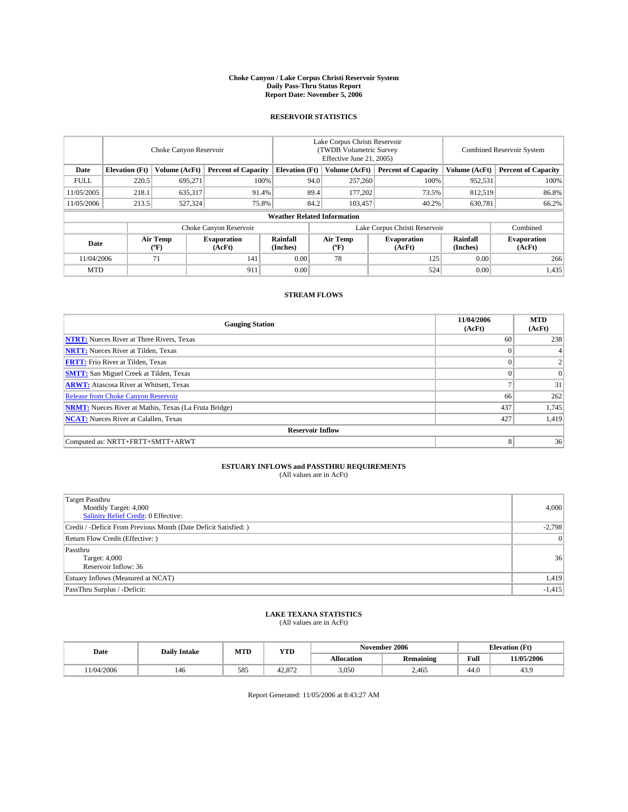#### **Choke Canyon / Lake Corpus Christi Reservoir System Daily Pass-Thru Status Report Report Date: November 5, 2006**

#### **RESERVOIR STATISTICS**

|             | Choke Canyon Reservoir |                         |                              |                                    | Lake Corpus Christi Reservoir<br>(TWDB Volumetric Survey<br>Effective June 21, 2005) |                  |                               | Combined Reservoir System |                              |  |
|-------------|------------------------|-------------------------|------------------------------|------------------------------------|--------------------------------------------------------------------------------------|------------------|-------------------------------|---------------------------|------------------------------|--|
| Date        | <b>Elevation</b> (Ft)  | Volume (AcFt)           | <b>Percent of Capacity</b>   | <b>Elevation</b> (Ft)              |                                                                                      | Volume (AcFt)    | <b>Percent of Capacity</b>    | Volume (AcFt)             | <b>Percent of Capacity</b>   |  |
| <b>FULL</b> | 220.5                  | 695.271                 | 100%                         |                                    | 94.0                                                                                 | 257,260          | 100%                          | 952,531                   | 100%                         |  |
| 11/05/2005  | 218.1                  | 635,317                 | 91.4%                        |                                    | 89.4                                                                                 | 177,202          | 73.5%                         | 812,519                   | 86.8%                        |  |
| 11/05/2006  | 213.5                  | 527,324                 | 75.8%                        |                                    | 84.2                                                                                 | 103.457          | 40.2%                         | 630,781                   | 66.2%                        |  |
|             |                        |                         |                              | <b>Weather Related Information</b> |                                                                                      |                  |                               |                           |                              |  |
|             |                        |                         | Choke Canyon Reservoir       |                                    |                                                                                      |                  | Lake Corpus Christi Reservoir |                           | Combined                     |  |
| Date        |                        | <b>Air Temp</b><br>(°F) | <b>Evaporation</b><br>(AcFt) | Rainfall<br>(Inches)               |                                                                                      | Air Temp<br>("F) | <b>Evaporation</b><br>(AcFt)  | Rainfall<br>(Inches)      | <b>Evaporation</b><br>(AcFt) |  |
| 11/04/2006  |                        | 71                      | 141                          | 0.00                               |                                                                                      | 78               | 125                           | 0.00                      | 266                          |  |
| <b>MTD</b>  |                        |                         | 911                          | 0.00                               |                                                                                      |                  | 524                           | 0.00                      | 1,435                        |  |

## **STREAM FLOWS**

| <b>Gauging Station</b>                                       | 11/04/2006<br>(AcFt) | <b>MTD</b><br>(AcFt) |
|--------------------------------------------------------------|----------------------|----------------------|
| <b>NTRT:</b> Nueces River at Three Rivers, Texas             | 60                   | 238                  |
| <b>NRTT:</b> Nueces River at Tilden, Texas                   | $\Omega$             | 4 <sub>1</sub>       |
| <b>FRTT:</b> Frio River at Tilden, Texas                     | $\Omega$             | $\overline{c}$       |
| <b>SMTT:</b> San Miguel Creek at Tilden, Texas               | $\theta$             | $\overline{0}$       |
| <b>ARWT:</b> Atascosa River at Whitsett, Texas               | o                    | 31                   |
| <b>Release from Choke Canyon Reservoir</b>                   | 66                   | 262                  |
| <b>NRMT:</b> Nueces River at Mathis, Texas (La Fruta Bridge) | 437                  | 1,745                |
| <b>NCAT:</b> Nueces River at Calallen, Texas                 | 427                  | 1,419                |
| <b>Reservoir Inflow</b>                                      |                      |                      |
| Computed as: NRTT+FRTT+SMTT+ARWT                             | 8                    | 36                   |

# **ESTUARY INFLOWS and PASSTHRU REQUIREMENTS**<br>(All values are in AcFt)

| <b>Target Passthru</b><br>Monthly Target: 4,000<br>Salinity Relief Credit: 0 Effective: | 4,000          |
|-----------------------------------------------------------------------------------------|----------------|
| Credit / -Deficit From Previous Month (Date Deficit Satisfied: )                        | $-2,798$       |
| Return Flow Credit (Effective:)                                                         | $\overline{0}$ |
| Passthru<br>Target: 4,000<br>Reservoir Inflow: 36                                       | 36             |
| Estuary Inflows (Measured at NCAT)                                                      | 1,419          |
| PassThru Surplus / -Deficit:                                                            | $-1,415$       |

#### **LAKE TEXANA STATISTICS** (All values are in AcFt)

|  | Date      | <b>Daily Intake</b> | MTT<br>IVI I L | YTD              |                   | November 2006    | <b>Elevation (Ft)</b> |            |
|--|-----------|---------------------|----------------|------------------|-------------------|------------------|-----------------------|------------|
|  |           |                     |                |                  | <b>Allocation</b> | <b>Remaining</b> | Full                  | 11/05/2006 |
|  | 1/04/2006 | 140                 | 585            | 10.07c<br>42.812 | 3,050             | 2.465            | 44.0                  | 40.5       |

Report Generated: 11/05/2006 at 8:43:27 AM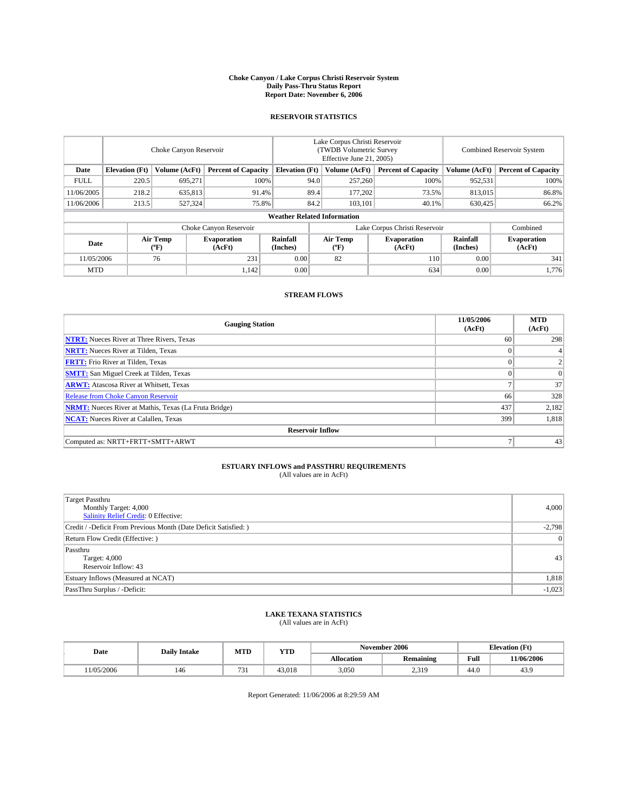#### **Choke Canyon / Lake Corpus Christi Reservoir System Daily Pass-Thru Status Report Report Date: November 6, 2006**

#### **RESERVOIR STATISTICS**

|             | Choke Canyon Reservoir |                         |                              |                                    | Lake Corpus Christi Reservoir<br>(TWDB Volumetric Survey<br>Effective June 21, 2005) |                  |                               | Combined Reservoir System |                              |  |
|-------------|------------------------|-------------------------|------------------------------|------------------------------------|--------------------------------------------------------------------------------------|------------------|-------------------------------|---------------------------|------------------------------|--|
| Date        | <b>Elevation</b> (Ft)  | Volume (AcFt)           | <b>Percent of Capacity</b>   | <b>Elevation</b> (Ft)              |                                                                                      | Volume (AcFt)    | <b>Percent of Capacity</b>    | Volume (AcFt)             | <b>Percent of Capacity</b>   |  |
| <b>FULL</b> | 220.5                  | 695.271                 | 100%                         |                                    | 94.0                                                                                 | 257,260          | 100%                          | 952,531                   | 100%                         |  |
| 11/06/2005  | 218.2                  | 635,813                 | 91.4%                        |                                    | 89.4                                                                                 | 177,202          | 73.5%                         | 813,015                   | 86.8%                        |  |
| 11/06/2006  | 213.5                  | 527,324                 | 75.8%                        |                                    | 84.2                                                                                 | 103.101          | 40.1%                         | 630,425                   | 66.2%                        |  |
|             |                        |                         |                              | <b>Weather Related Information</b> |                                                                                      |                  |                               |                           |                              |  |
|             |                        |                         | Choke Canyon Reservoir       |                                    |                                                                                      |                  | Lake Corpus Christi Reservoir |                           | Combined                     |  |
| Date        |                        | <b>Air Temp</b><br>(°F) | <b>Evaporation</b><br>(AcFt) | Rainfall<br>(Inches)               |                                                                                      | Air Temp<br>("F) | <b>Evaporation</b><br>(AcFt)  | Rainfall<br>(Inches)      | <b>Evaporation</b><br>(AcFt) |  |
| 11/05/2006  |                        | 76                      | 231                          | 0.00                               |                                                                                      | 82               | 110                           | 0.00                      | 341                          |  |
| <b>MTD</b>  |                        |                         | 1,142                        | 0.00                               |                                                                                      |                  | 634                           | 0.00                      | 1,776                        |  |

## **STREAM FLOWS**

| <b>Gauging Station</b>                                       | 11/05/2006<br>(AcFt) | <b>MTD</b><br>(AcFt) |
|--------------------------------------------------------------|----------------------|----------------------|
| <b>NTRT:</b> Nueces River at Three Rivers, Texas             | 60                   | 298                  |
| <b>NRTT:</b> Nueces River at Tilden, Texas                   |                      | 4                    |
| <b>FRTT:</b> Frio River at Tilden, Texas                     | $\Omega$             |                      |
| <b>SMTT:</b> San Miguel Creek at Tilden, Texas               | $\Omega$             | $\Omega$             |
| <b>ARWT:</b> Atascosa River at Whitsett, Texas               |                      | 37                   |
| <b>Release from Choke Canyon Reservoir</b>                   | 66                   | 328                  |
| <b>NRMT:</b> Nueces River at Mathis, Texas (La Fruta Bridge) | 437                  | 2,182                |
| <b>NCAT:</b> Nueces River at Calallen, Texas                 | 399                  | 1,818                |
| <b>Reservoir Inflow</b>                                      |                      |                      |
| Computed as: NRTT+FRTT+SMTT+ARWT                             | ⇁                    | 43                   |

# **ESTUARY INFLOWS and PASSTHRU REQUIREMENTS**<br>(All values are in AcFt)

| Target Passthru<br>Monthly Target: 4,000<br>Salinity Relief Credit: 0 Effective: | 4,000          |
|----------------------------------------------------------------------------------|----------------|
| Credit / -Deficit From Previous Month (Date Deficit Satisfied: )                 | $-2,798$       |
| Return Flow Credit (Effective:)                                                  | $\overline{0}$ |
| Passthru<br>Target: 4,000<br>Reservoir Inflow: 43                                | 43             |
| Estuary Inflows (Measured at NCAT)                                               | 1,818          |
| PassThru Surplus / -Deficit:                                                     | $-1,023$       |

# **LAKE TEXANA STATISTICS** (All values are in AcFt)

| Date      | <b>Daily Intake</b> | MTT<br>YTD<br>IVI I L |        |                   | November 2006    | <b>Elevation</b> (Ft) |            |
|-----------|---------------------|-----------------------|--------|-------------------|------------------|-----------------------|------------|
|           |                     |                       |        | <b>Allocation</b> | <b>Remaining</b> | Full                  | 11/06/2006 |
| 1/05/2006 | 140                 | 73.<br>, , ,          | 43,018 | 3,050             | າ 210<br>2.012   | 44.0                  | 40.5       |

Report Generated: 11/06/2006 at 8:29:59 AM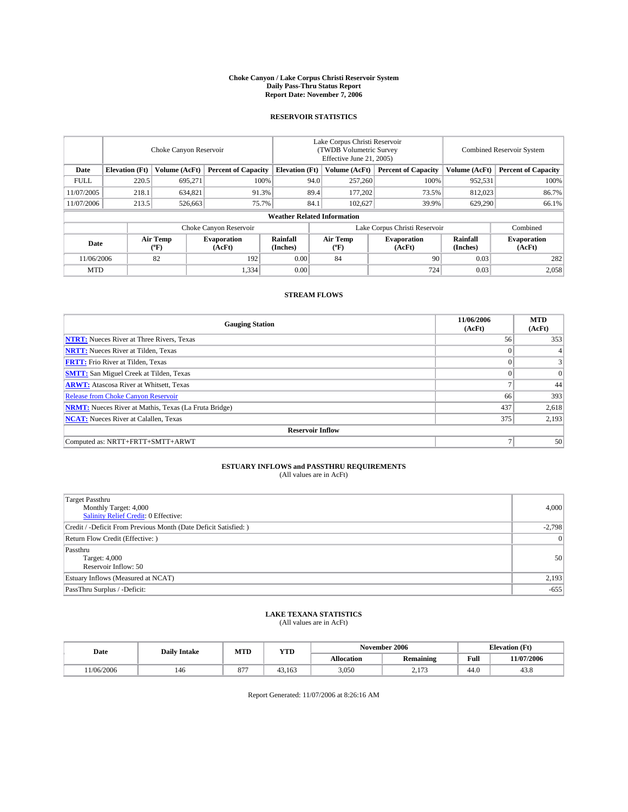#### **Choke Canyon / Lake Corpus Christi Reservoir System Daily Pass-Thru Status Report Report Date: November 7, 2006**

#### **RESERVOIR STATISTICS**

|             | Choke Canyon Reservoir             |                         |                              |                                                     | Lake Corpus Christi Reservoir<br>(TWDB Volumetric Survey<br>Effective June 21, 2005) |                  |                              | Combined Reservoir System |                              |  |  |  |
|-------------|------------------------------------|-------------------------|------------------------------|-----------------------------------------------------|--------------------------------------------------------------------------------------|------------------|------------------------------|---------------------------|------------------------------|--|--|--|
| Date        | <b>Elevation</b> (Ft)              | Volume (AcFt)           |                              | <b>Percent of Capacity</b><br><b>Elevation</b> (Ft) |                                                                                      | Volume (AcFt)    | <b>Percent of Capacity</b>   | Volume (AcFt)             | <b>Percent of Capacity</b>   |  |  |  |
| <b>FULL</b> | 220.5                              | 695.271                 | 100%                         |                                                     | 94.0                                                                                 | 257,260          | 100%                         | 952,531                   | 100%                         |  |  |  |
| 11/07/2005  | 218.1                              | 634,821                 | 91.3%                        |                                                     | 89.4                                                                                 | 177.202          | 73.5%                        | 812,023                   | 86.7%                        |  |  |  |
| 11/07/2006  | 213.5                              | 526,663                 | 75.7%                        |                                                     | 84.1                                                                                 | 102,627          | 39.9%                        | 629,290                   | 66.1%                        |  |  |  |
|             | <b>Weather Related Information</b> |                         |                              |                                                     |                                                                                      |                  |                              |                           |                              |  |  |  |
|             |                                    |                         |                              | Lake Corpus Christi Reservoir                       |                                                                                      | Combined         |                              |                           |                              |  |  |  |
| Date        |                                    | <b>Air Temp</b><br>(°F) | <b>Evaporation</b><br>(AcFt) | Rainfall<br>(Inches)                                |                                                                                      | Air Temp<br>("F) | <b>Evaporation</b><br>(AcFt) | Rainfall<br>(Inches)      | <b>Evaporation</b><br>(AcFt) |  |  |  |
| 11/06/2006  |                                    | 82                      | 192                          | 0.00                                                |                                                                                      | 84               | 90                           | 0.03                      | 282                          |  |  |  |
| <b>MTD</b>  |                                    |                         | 1,334                        | 0.00                                                |                                                                                      |                  | 724                          | 0.03                      | 2,058                        |  |  |  |

## **STREAM FLOWS**

| <b>Gauging Station</b>                                       | 11/06/2006<br>(AcFt) | <b>MTD</b><br>(AcFt) |
|--------------------------------------------------------------|----------------------|----------------------|
| <b>NTRT:</b> Nueces River at Three Rivers, Texas             | 56                   | 353                  |
| <b>NRTT:</b> Nueces River at Tilden, Texas                   | $\Omega$             |                      |
| <b>FRTT:</b> Frio River at Tilden, Texas                     | $\Omega$             | $\frac{3}{3}$        |
| <b>SMTT:</b> San Miguel Creek at Tilden, Texas               | $\Omega$             | $\overline{0}$       |
| <b>ARWT:</b> Atascosa River at Whitsett, Texas               |                      | 44                   |
| <b>Release from Choke Canyon Reservoir</b>                   | 66                   | 393                  |
| <b>NRMT:</b> Nueces River at Mathis, Texas (La Fruta Bridge) | 437                  | 2,618                |
| <b>NCAT:</b> Nueces River at Calallen, Texas                 | 375                  | 2,193                |
| <b>Reservoir Inflow</b>                                      |                      |                      |
| Computed as: NRTT+FRTT+SMTT+ARWT                             | 7                    | 50                   |

# **ESTUARY INFLOWS and PASSTHRU REQUIREMENTS**<br>(All values are in AcFt)

| <b>Target Passthru</b><br>Monthly Target: 4,000<br>Salinity Relief Credit: 0 Effective: | 4,000          |
|-----------------------------------------------------------------------------------------|----------------|
| Credit / -Deficit From Previous Month (Date Deficit Satisfied: )                        | $-2,798$       |
| Return Flow Credit (Effective:)                                                         | $\overline{0}$ |
| Passthru<br>Target: 4,000<br>Reservoir Inflow: 50                                       | 50             |
| Estuary Inflows (Measured at NCAT)                                                      | 2,193          |
| PassThru Surplus / -Deficit:                                                            | $-655$         |

#### **LAKE TEXANA STATISTICS** (All values are in AcFt)

|  | Date      | <b>Daily Intake</b> | MTT<br>IVI I L             | YTD    |                   | November 2006                |      | <b>Elevation (Ft)</b> |
|--|-----------|---------------------|----------------------------|--------|-------------------|------------------------------|------|-----------------------|
|  |           |                     |                            |        | <b>Allocation</b> | <b>Remaining</b>             | Full | 11/07/2006            |
|  | 1/06/2006 | 140                 | $\sim$ $\sim$<br>$\circ$ / | 43.163 | 3,050             | $\sim$ $\sim$ $\sim$<br>$-1$ | 44.0 | 45.0                  |

Report Generated: 11/07/2006 at 8:26:16 AM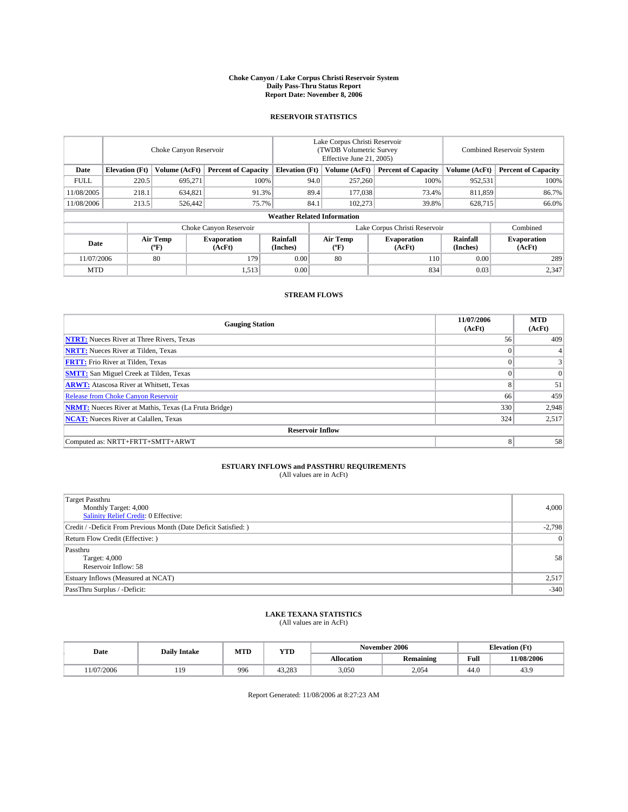#### **Choke Canyon / Lake Corpus Christi Reservoir System Daily Pass-Thru Status Report Report Date: November 8, 2006**

#### **RESERVOIR STATISTICS**

|                        | Choke Canyon Reservoir             |                                             |                              |                       | Lake Corpus Christi Reservoir<br>(TWDB Volumetric Survey<br>Effective June 21, 2005) |                  |                               |                      | <b>Combined Reservoir System</b> |  |  |
|------------------------|------------------------------------|---------------------------------------------|------------------------------|-----------------------|--------------------------------------------------------------------------------------|------------------|-------------------------------|----------------------|----------------------------------|--|--|
| Date                   | <b>Elevation</b> (Ft)              | Volume (AcFt)<br><b>Percent of Capacity</b> |                              | <b>Elevation</b> (Ft) |                                                                                      | Volume (AcFt)    | <b>Percent of Capacity</b>    | Volume (AcFt)        | <b>Percent of Capacity</b>       |  |  |
| <b>FULL</b>            | 220.5                              | 695.271                                     |                              | 100%                  | 94.0                                                                                 | 257,260          | 100%                          | 952,531              | 100%                             |  |  |
| 11/08/2005             | 218.1                              | 634,821                                     | 91.3%                        |                       | 89.4                                                                                 | 177,038          | 73.4%                         | 811,859              | 86.7%                            |  |  |
| 11/08/2006             | 213.5                              | 526,442                                     |                              | 75.7%                 | 84.1                                                                                 | 102,273          | 39.8%                         | 628,715              | 66.0%                            |  |  |
|                        | <b>Weather Related Information</b> |                                             |                              |                       |                                                                                      |                  |                               |                      |                                  |  |  |
| Choke Canyon Reservoir |                                    |                                             |                              |                       |                                                                                      |                  | Lake Corpus Christi Reservoir |                      | Combined                         |  |  |
| Date                   |                                    | Air Temp<br>(°F)                            | <b>Evaporation</b><br>(AcFt) | Rainfall<br>(Inches)  |                                                                                      | Air Temp<br>("F) | <b>Evaporation</b><br>(AcFt)  | Rainfall<br>(Inches) | <b>Evaporation</b><br>(AcFt)     |  |  |
| 11/07/2006             |                                    | 80                                          | 179                          | 0.00                  |                                                                                      | 80               | 110                           | 0.00                 | 289                              |  |  |
| <b>MTD</b>             |                                    |                                             | 1,513                        | 0.00                  |                                                                                      |                  | 834                           | 0.03                 | 2,347                            |  |  |

## **STREAM FLOWS**

| <b>Gauging Station</b>                                       | 11/07/2006<br>(AcFt) | <b>MTD</b><br>(AcFt) |
|--------------------------------------------------------------|----------------------|----------------------|
| <b>NTRT:</b> Nueces River at Three Rivers, Texas             | 56                   | 409                  |
| <b>NRTT:</b> Nueces River at Tilden, Texas                   | $\theta$             |                      |
| <b>FRTT:</b> Frio River at Tilden, Texas                     | $\Omega$             | 3 <sup>1</sup>       |
| <b>SMTT:</b> San Miguel Creek at Tilden, Texas               | $\Omega$             | $\overline{0}$       |
| <b>ARWT:</b> Atascosa River at Whitsett, Texas               | 8                    | 51                   |
| <b>Release from Choke Canyon Reservoir</b>                   | 66                   | 459                  |
| <b>NRMT:</b> Nueces River at Mathis, Texas (La Fruta Bridge) | 330                  | 2,948                |
| <b>NCAT:</b> Nueces River at Calallen, Texas                 | 324                  | 2,517                |
| <b>Reservoir Inflow</b>                                      |                      |                      |
| Computed as: NRTT+FRTT+SMTT+ARWT                             | 8                    | 58                   |

# **ESTUARY INFLOWS and PASSTHRU REQUIREMENTS**<br>(All values are in AcFt)

| <b>Target Passthru</b><br>Monthly Target: 4,000<br><b>Salinity Relief Credit: 0 Effective:</b> | 4,000          |
|------------------------------------------------------------------------------------------------|----------------|
| Credit / -Deficit From Previous Month (Date Deficit Satisfied: )                               | $-2,798$       |
| Return Flow Credit (Effective:)                                                                | $\overline{0}$ |
| Passthru<br>Target: 4,000<br>Reservoir Inflow: 58                                              | 58             |
| Estuary Inflows (Measured at NCAT)                                                             | 2,517          |
| PassThru Surplus / -Deficit:                                                                   | $-340$         |

#### **LAKE TEXANA STATISTICS** (All values are in AcFt)

| Date      |    | MTD<br><b>YTD</b><br><b>Daily Intake</b> |        |            | November 2006    | <b>Elevation</b> (Ft) |            |
|-----------|----|------------------------------------------|--------|------------|------------------|-----------------------|------------|
|           |    |                                          |        | Allocation | <b>Remaining</b> | Full                  | 11/08/2006 |
| 1/07/2006 | 10 | 996                                      | 43.283 | 3,050      | 2.054            | 44.0                  | 45.5       |

Report Generated: 11/08/2006 at 8:27:23 AM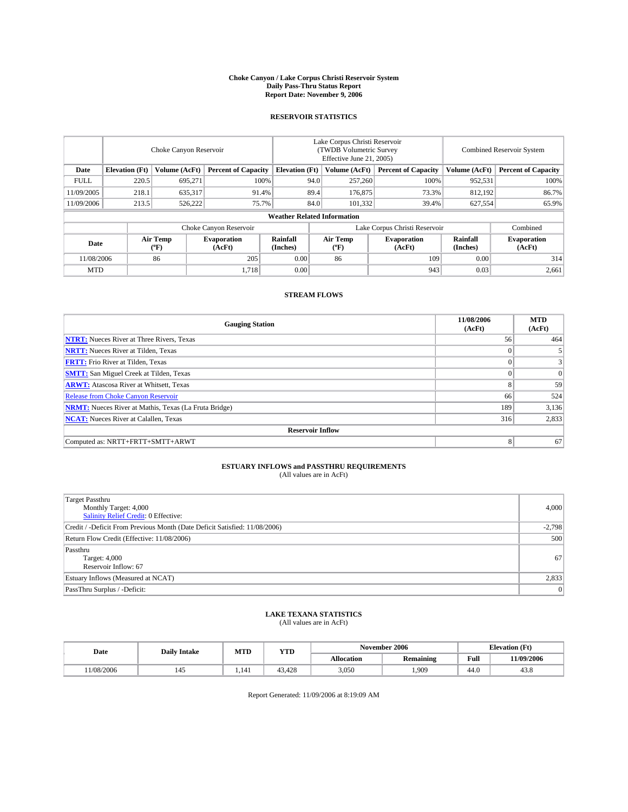#### **Choke Canyon / Lake Corpus Christi Reservoir System Daily Pass-Thru Status Report Report Date: November 9, 2006**

#### **RESERVOIR STATISTICS**

|             | Choke Canyon Reservoir             |                         |                              |                               | Lake Corpus Christi Reservoir<br>(TWDB Volumetric Survey<br>Effective June 21, 2005) |                  |                              | Combined Reservoir System  |                              |  |  |
|-------------|------------------------------------|-------------------------|------------------------------|-------------------------------|--------------------------------------------------------------------------------------|------------------|------------------------------|----------------------------|------------------------------|--|--|
| Date        | <b>Elevation</b> (Ft)              | Volume (AcFt)           | <b>Percent of Capacity</b>   | <b>Elevation</b> (Ft)         | Volume (AcFt)<br><b>Percent of Capacity</b>                                          |                  | Volume (AcFt)                | <b>Percent of Capacity</b> |                              |  |  |
| <b>FULL</b> | 220.5                              | 695.271                 | 100%                         |                               | 94.0                                                                                 | 257,260          | 100%                         | 952,531                    | 100%                         |  |  |
| 11/09/2005  | 218.1                              | 635,317                 | 91.4%                        |                               | 89.4                                                                                 | 176,875          | 73.3%                        | 812,192                    | 86.7%                        |  |  |
| 11/09/2006  | 213.5                              | 526,222                 | 75.7%                        |                               | 84.0                                                                                 | 101,332          | 39.4%                        | 627,554                    | 65.9%                        |  |  |
|             | <b>Weather Related Information</b> |                         |                              |                               |                                                                                      |                  |                              |                            |                              |  |  |
|             |                                    |                         |                              | Lake Corpus Christi Reservoir |                                                                                      | Combined         |                              |                            |                              |  |  |
| Date        |                                    | <b>Air Temp</b><br>(°F) | <b>Evaporation</b><br>(AcFt) | Rainfall<br>(Inches)          |                                                                                      | Air Temp<br>("F) | <b>Evaporation</b><br>(AcFt) | Rainfall<br>(Inches)       | <b>Evaporation</b><br>(AcFt) |  |  |
| 11/08/2006  |                                    | 86                      | 205                          | 0.00                          |                                                                                      | 86               | 109                          | 0.00                       | 314                          |  |  |
| <b>MTD</b>  |                                    |                         | 1,718                        | 0.00                          |                                                                                      |                  | 943                          | 0.03                       | 2,661                        |  |  |

## **STREAM FLOWS**

| <b>Gauging Station</b>                                       | 11/08/2006<br>(AcFt) | <b>MTD</b><br>(AcFt) |
|--------------------------------------------------------------|----------------------|----------------------|
| <b>NTRT:</b> Nueces River at Three Rivers, Texas             | 56                   | 464                  |
| <b>NRTT:</b> Nueces River at Tilden, Texas                   | $\theta$             | 5                    |
| <b>FRTT:</b> Frio River at Tilden, Texas                     | $\Omega$             | 3 <sup>1</sup>       |
| <b>SMTT:</b> San Miguel Creek at Tilden, Texas               | $\Omega$             | $\overline{0}$       |
| <b>ARWT:</b> Atascosa River at Whitsett, Texas               | 8                    | 59                   |
| <b>Release from Choke Canyon Reservoir</b>                   | 66                   | 524                  |
| <b>NRMT:</b> Nueces River at Mathis, Texas (La Fruta Bridge) | 189                  | 3,136                |
| <b>NCAT:</b> Nueces River at Calallen, Texas                 | 316                  | 2,833                |
| <b>Reservoir Inflow</b>                                      |                      |                      |
| Computed as: NRTT+FRTT+SMTT+ARWT                             | 8                    | 67                   |

# **ESTUARY INFLOWS and PASSTHRU REQUIREMENTS**<br>(All values are in AcFt)

| <b>Target Passthru</b><br>Monthly Target: 4,000<br>Salinity Relief Credit: 0 Effective: | 4,000          |
|-----------------------------------------------------------------------------------------|----------------|
| Credit / -Deficit From Previous Month (Date Deficit Satisfied: 11/08/2006)              | $-2,798$       |
| Return Flow Credit (Effective: 11/08/2006)                                              | 500            |
| Passthru<br>Target: 4,000<br>Reservoir Inflow: 67                                       | 67             |
| Estuary Inflows (Measured at NCAT)                                                      | 2,833          |
| PassThru Surplus / -Deficit:                                                            | $\overline{0}$ |

# **LAKE TEXANA STATISTICS** (All values are in AcFt)

|  | Date      | <b>Daily Intake</b> | MTT<br>IVI I L | YTD    | November 2006     |                  |      | <b>Elevation (Ft)</b> |
|--|-----------|---------------------|----------------|--------|-------------------|------------------|------|-----------------------|
|  |           |                     |                |        | <b>Allocation</b> | <b>Remaining</b> | Full | 11/09/2006            |
|  | 1/08/2006 |                     | .141           | 43.428 | 3,050             | 1,909            | 44.0 | 45.0                  |

Report Generated: 11/09/2006 at 8:19:09 AM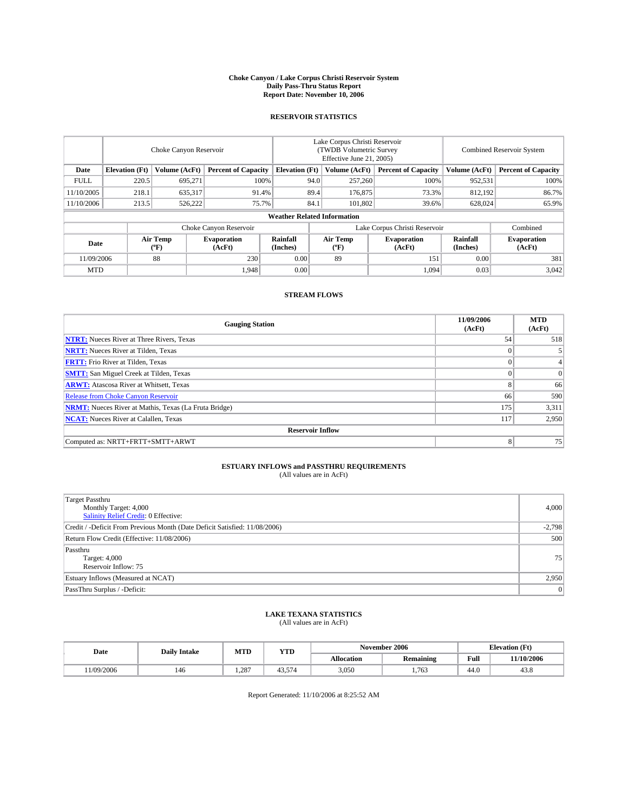#### **Choke Canyon / Lake Corpus Christi Reservoir System Daily Pass-Thru Status Report Report Date: November 10, 2006**

### **RESERVOIR STATISTICS**

|             | Choke Canyon Reservoir                                               |                         |                              |                      | Lake Corpus Christi Reservoir<br>(TWDB Volumetric Survey<br>Effective June 21, 2005) |                            |                               |                            | Combined Reservoir System    |  |  |
|-------------|----------------------------------------------------------------------|-------------------------|------------------------------|----------------------|--------------------------------------------------------------------------------------|----------------------------|-------------------------------|----------------------------|------------------------------|--|--|
| Date        | Volume (AcFt)<br><b>Elevation</b> (Ft)<br><b>Percent of Capacity</b> |                         | <b>Elevation</b> (Ft)        |                      | Volume (AcFt)                                                                        | <b>Percent of Capacity</b> | Volume (AcFt)                 | <b>Percent of Capacity</b> |                              |  |  |
| <b>FULL</b> | 220.5                                                                | 695.271                 |                              | 100%                 | 94.0                                                                                 | 257,260                    | 100%                          | 952,531                    | 100%                         |  |  |
| 11/10/2005  | 218.1                                                                | 635,317                 | 91.4%                        |                      | 89.4                                                                                 | 176,875                    | 73.3%                         | 812,192                    | 86.7%                        |  |  |
| 11/10/2006  | 213.5                                                                | 526,222                 | 75.7%                        |                      | 84.1                                                                                 | 101.802                    | 39.6%                         | 628,024                    | 65.9%                        |  |  |
|             | <b>Weather Related Information</b>                                   |                         |                              |                      |                                                                                      |                            |                               |                            |                              |  |  |
|             |                                                                      |                         | Choke Canyon Reservoir       |                      |                                                                                      |                            | Lake Corpus Christi Reservoir |                            | Combined                     |  |  |
| Date        |                                                                      | <b>Air Temp</b><br>(°F) | <b>Evaporation</b><br>(AcFt) | Rainfall<br>(Inches) |                                                                                      | Air Temp<br>("F)           | <b>Evaporation</b><br>(AcFt)  | Rainfall<br>(Inches)       | <b>Evaporation</b><br>(AcFt) |  |  |
| 11/09/2006  |                                                                      | 88                      | 230                          | 0.00                 |                                                                                      | 89                         | 151                           | 0.00                       | 381                          |  |  |
| <b>MTD</b>  |                                                                      |                         | 1,948                        | 0.00                 |                                                                                      |                            | 1,094                         | 0.03                       | 3,042                        |  |  |

### **STREAM FLOWS**

| <b>Gauging Station</b>                                       | 11/09/2006<br>(AcFt) | <b>MTD</b><br>(AcFt) |
|--------------------------------------------------------------|----------------------|----------------------|
| <b>NTRT:</b> Nueces River at Three Rivers, Texas             | 54                   | 518                  |
| <b>NRTT:</b> Nueces River at Tilden, Texas                   | $\Omega$             |                      |
| <b>FRTT:</b> Frio River at Tilden, Texas                     | $\Omega$             | 4 <sub>1</sub>       |
| <b>SMTT:</b> San Miguel Creek at Tilden, Texas               | $\theta$             | $\overline{0}$       |
| <b>ARWT:</b> Atascosa River at Whitsett, Texas               | 8                    | 66                   |
| <b>Release from Choke Canyon Reservoir</b>                   | 66                   | 590                  |
| <b>NRMT:</b> Nueces River at Mathis, Texas (La Fruta Bridge) | 175                  | 3,311                |
| <b>NCAT:</b> Nueces River at Calallen, Texas                 | 117                  | 2,950                |
| <b>Reservoir Inflow</b>                                      |                      |                      |
| Computed as: NRTT+FRTT+SMTT+ARWT                             | 8                    | 75                   |

# **ESTUARY INFLOWS and PASSTHRU REQUIREMENTS**<br>(All values are in AcFt)

| <b>Target Passthru</b><br>Monthly Target: 4,000<br>Salinity Relief Credit: 0 Effective: | 4,000          |
|-----------------------------------------------------------------------------------------|----------------|
| Credit / -Deficit From Previous Month (Date Deficit Satisfied: 11/08/2006)              | $-2,798$       |
| Return Flow Credit (Effective: 11/08/2006)                                              | 500            |
| Passthru<br>Target: 4,000<br>Reservoir Inflow: 75                                       | 75             |
| Estuary Inflows (Measured at NCAT)                                                      | 2,950          |
| PassThru Surplus / -Deficit:                                                            | $\overline{0}$ |

#### **LAKE TEXANA STATISTICS** (All values are in AcFt)

|  | Date      | <b>Daily Intake</b> | MTT<br>MIL | YTD    |                   | November 2006    | <b>Elevation (Ft)</b> |            |
|--|-----------|---------------------|------------|--------|-------------------|------------------|-----------------------|------------|
|  |           |                     |            |        | <b>Allocation</b> | <b>Remaining</b> | Full                  | 11/10/2006 |
|  | 1/09/2006 | 140                 | 287        | 43.574 | 3,050             | 1.763            | 44.0                  | 45.6       |

Report Generated: 11/10/2006 at 8:25:52 AM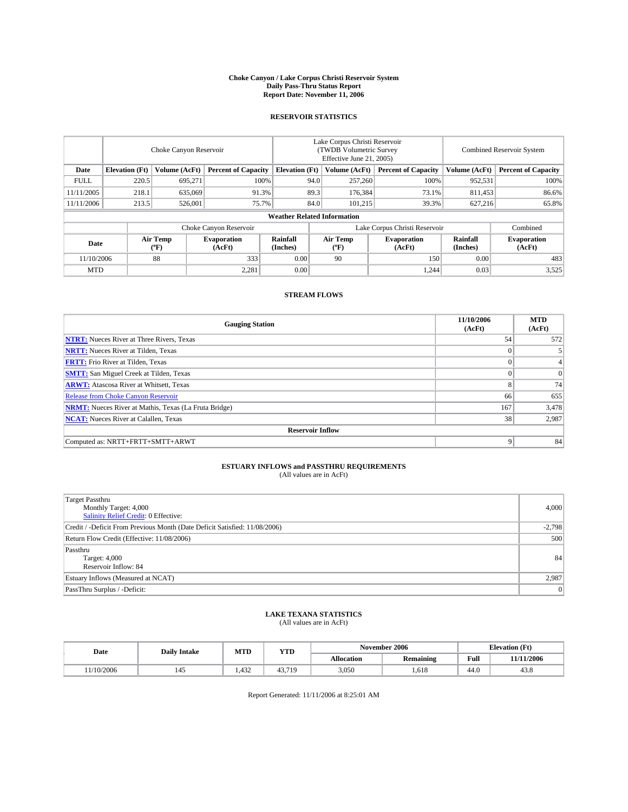#### **Choke Canyon / Lake Corpus Christi Reservoir System Daily Pass-Thru Status Report Report Date: November 11, 2006**

### **RESERVOIR STATISTICS**

|             | Choke Canyon Reservoir                                               |                         |                              |                      | Lake Corpus Christi Reservoir<br>(TWDB Volumetric Survey<br>Effective June 21, 2005) |                            |                               |                            | Combined Reservoir System    |  |  |
|-------------|----------------------------------------------------------------------|-------------------------|------------------------------|----------------------|--------------------------------------------------------------------------------------|----------------------------|-------------------------------|----------------------------|------------------------------|--|--|
| Date        | Volume (AcFt)<br><b>Elevation</b> (Ft)<br><b>Percent of Capacity</b> |                         | <b>Elevation</b> (Ft)        |                      | Volume (AcFt)                                                                        | <b>Percent of Capacity</b> | Volume (AcFt)                 | <b>Percent of Capacity</b> |                              |  |  |
| <b>FULL</b> | 220.5                                                                | 695.271                 |                              | 100%                 | 94.0                                                                                 | 257,260                    | 100%                          | 952,531                    | 100%                         |  |  |
| 11/11/2005  | 218.1                                                                | 635,069                 | 91.3%                        |                      | 89.3                                                                                 | 176,384                    | 73.1%                         | 811,453                    | 86.6%                        |  |  |
| 11/11/2006  | 213.5                                                                | 526,001                 | 75.7%                        |                      | 84.0                                                                                 | 101.215                    | 39.3%                         | 627,216                    | 65.8%                        |  |  |
|             | <b>Weather Related Information</b>                                   |                         |                              |                      |                                                                                      |                            |                               |                            |                              |  |  |
|             |                                                                      |                         | Choke Canyon Reservoir       |                      |                                                                                      |                            | Lake Corpus Christi Reservoir |                            | Combined                     |  |  |
| Date        |                                                                      | <b>Air Temp</b><br>(°F) | <b>Evaporation</b><br>(AcFt) | Rainfall<br>(Inches) |                                                                                      | Air Temp<br>("F)           | <b>Evaporation</b><br>(AcFt)  | Rainfall<br>(Inches)       | <b>Evaporation</b><br>(AcFt) |  |  |
| 11/10/2006  |                                                                      | 88                      | 333                          | 0.00                 |                                                                                      | 90                         | 150                           | 0.00                       | 483                          |  |  |
| <b>MTD</b>  |                                                                      |                         | 2,281                        | 0.00                 |                                                                                      |                            | 1,244                         | 0.03                       | 3,525                        |  |  |

### **STREAM FLOWS**

| <b>Gauging Station</b>                                       | 11/10/2006<br>(AcFt) | <b>MTD</b><br>(AcFt) |
|--------------------------------------------------------------|----------------------|----------------------|
| <b>NTRT:</b> Nueces River at Three Rivers, Texas             | 54                   | 572                  |
| <b>NRTT:</b> Nueces River at Tilden, Texas                   | $\Omega$             | 5 <sup>1</sup>       |
| <b>FRTT:</b> Frio River at Tilden, Texas                     | $\Omega$             | 4 <sub>1</sub>       |
| <b>SMTT:</b> San Miguel Creek at Tilden, Texas               | $\theta$             | $\overline{0}$       |
| <b>ARWT:</b> Atascosa River at Whitsett, Texas               | 8                    | 74                   |
| <b>Release from Choke Canyon Reservoir</b>                   | 66                   | 655                  |
| <b>NRMT:</b> Nueces River at Mathis, Texas (La Fruta Bridge) | 167                  | 3,478                |
| <b>NCAT:</b> Nueces River at Calallen, Texas                 | 38                   | 2,987                |
| <b>Reservoir Inflow</b>                                      |                      |                      |
| Computed as: NRTT+FRTT+SMTT+ARWT                             | 9                    | 84                   |

# **ESTUARY INFLOWS and PASSTHRU REQUIREMENTS**<br>(All values are in AcFt)

| <b>Target Passthru</b><br>Monthly Target: 4,000<br>Salinity Relief Credit: 0 Effective: | 4,000          |
|-----------------------------------------------------------------------------------------|----------------|
| Credit / -Deficit From Previous Month (Date Deficit Satisfied: 11/08/2006)              | $-2,798$       |
| Return Flow Credit (Effective: 11/08/2006)                                              | 500            |
| Passthru<br>Target: 4,000<br>Reservoir Inflow: 84                                       | 84             |
| Estuary Inflows (Measured at NCAT)                                                      | 2,987          |
| PassThru Surplus / -Deficit:                                                            | $\overline{0}$ |

#### **LAKE TEXANA STATISTICS** (All values are in AcFt)

| Date      | <b>Daily Intake</b> | MTD  | <b>YTD</b> |            | November 2006    | <b>Elevation</b> (Ft) |            |
|-----------|---------------------|------|------------|------------|------------------|-----------------------|------------|
|           |                     |      |            | Allocation | <b>Remaining</b> | Full                  | 11/11/2006 |
| 1/10/2006 | 145                 | .432 | 43.719     | 3,050      | 650<br>1.618     | 44.0                  | 43.8       |

Report Generated: 11/11/2006 at 8:25:01 AM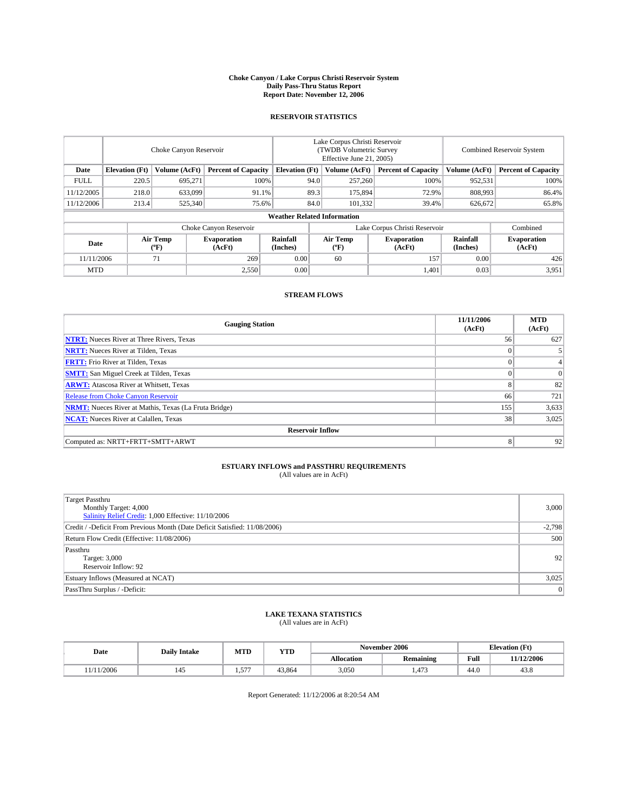#### **Choke Canyon / Lake Corpus Christi Reservoir System Daily Pass-Thru Status Report Report Date: November 12, 2006**

### **RESERVOIR STATISTICS**

|             | Choke Canyon Reservoir             |                         |                              |                      | Lake Corpus Christi Reservoir<br>(TWDB Volumetric Survey<br>Effective June 21, 2005) |                  |                               |                      | Combined Reservoir System    |  |  |
|-------------|------------------------------------|-------------------------|------------------------------|----------------------|--------------------------------------------------------------------------------------|------------------|-------------------------------|----------------------|------------------------------|--|--|
| Date        | <b>Elevation</b> (Ft)              | Volume (AcFt)           | <b>Percent of Capacity</b>   |                      | <b>Elevation</b> (Ft)                                                                | Volume (AcFt)    | <b>Percent of Capacity</b>    | Volume (AcFt)        | <b>Percent of Capacity</b>   |  |  |
| <b>FULL</b> | 220.5                              | 695.271                 | 100%                         |                      | 94.0                                                                                 | 257,260          | 100%                          | 952,531              | 100%                         |  |  |
| 11/12/2005  | 218.0                              | 633,099                 | 91.1%                        |                      | 89.3                                                                                 | 175,894          | 72.9%                         | 808,993              | 86.4%                        |  |  |
| 11/12/2006  | 213.4                              | 525,340                 | 75.6%                        |                      | 84.0                                                                                 | 101.332          | 39.4%                         | 626,672              | 65.8%                        |  |  |
|             | <b>Weather Related Information</b> |                         |                              |                      |                                                                                      |                  |                               |                      |                              |  |  |
|             |                                    |                         | Choke Canyon Reservoir       |                      |                                                                                      |                  | Lake Corpus Christi Reservoir |                      | Combined                     |  |  |
| Date        |                                    | <b>Air Temp</b><br>(°F) | <b>Evaporation</b><br>(AcFt) | Rainfall<br>(Inches) |                                                                                      | Air Temp<br>("F) | <b>Evaporation</b><br>(AcFt)  | Rainfall<br>(Inches) | <b>Evaporation</b><br>(AcFt) |  |  |
| 11/11/2006  |                                    | 71                      | 269                          | 0.00                 |                                                                                      | 60               | 157                           | 0.00                 | 426                          |  |  |
| <b>MTD</b>  |                                    |                         | 2,550                        | 0.00                 |                                                                                      |                  | 1,401                         | 0.03                 | 3,951                        |  |  |

## **STREAM FLOWS**

| <b>Gauging Station</b>                                       | 11/11/2006<br>(AcFt) | <b>MTD</b><br>(AcFt) |
|--------------------------------------------------------------|----------------------|----------------------|
| <b>NTRT:</b> Nueces River at Three Rivers, Texas             | 56                   | 627                  |
| <b>NRTT:</b> Nueces River at Tilden, Texas                   | $\Omega$             |                      |
| <b>FRTT:</b> Frio River at Tilden, Texas                     | $\Omega$             | $\overline{4}$       |
| <b>SMTT:</b> San Miguel Creek at Tilden, Texas               | $\theta$             | $\overline{0}$       |
| <b>ARWT:</b> Atascosa River at Whitsett, Texas               | 8                    | 82                   |
| <b>Release from Choke Canyon Reservoir</b>                   | 66                   | 721                  |
| <b>NRMT:</b> Nueces River at Mathis, Texas (La Fruta Bridge) | 155                  | 3,633                |
| <b>NCAT:</b> Nueces River at Calallen, Texas                 | 38                   | 3,025                |
| <b>Reservoir Inflow</b>                                      |                      |                      |
| Computed as: NRTT+FRTT+SMTT+ARWT                             | 8                    | 92                   |

# **ESTUARY INFLOWS and PASSTHRU REQUIREMENTS**<br>(All values are in AcFt)

| <b>Target Passthru</b><br>Monthly Target: 4,000<br>Salinity Relief Credit: 1,000 Effective: 11/10/2006 | 3,000          |
|--------------------------------------------------------------------------------------------------------|----------------|
| Credit / -Deficit From Previous Month (Date Deficit Satisfied: 11/08/2006)                             | $-2,798$       |
| Return Flow Credit (Effective: 11/08/2006)                                                             | 500            |
| Passthru<br>Target: 3,000<br>Reservoir Inflow: 92                                                      | 92             |
| Estuary Inflows (Measured at NCAT)                                                                     | 3,025          |
| PassThru Surplus / -Deficit:                                                                           | $\overline{0}$ |

#### **LAKE TEXANA STATISTICS** (All values are in AcFt)

| Date           | <b>Daily Intake</b> | MTD      | <b>YTD</b> |            | November 2006    |      | <b>Elevation</b> (Ft) |  |
|----------------|---------------------|----------|------------|------------|------------------|------|-----------------------|--|
|                |                     |          |            | Allocation | <b>Remaining</b> | Full | 11/12/2006            |  |
| 1/2006<br>1/11 | 145                 | 577<br>. | 43.864     | 3,050      | 472<br>1.473     | 44.0 | 43.8                  |  |

Report Generated: 11/12/2006 at 8:20:54 AM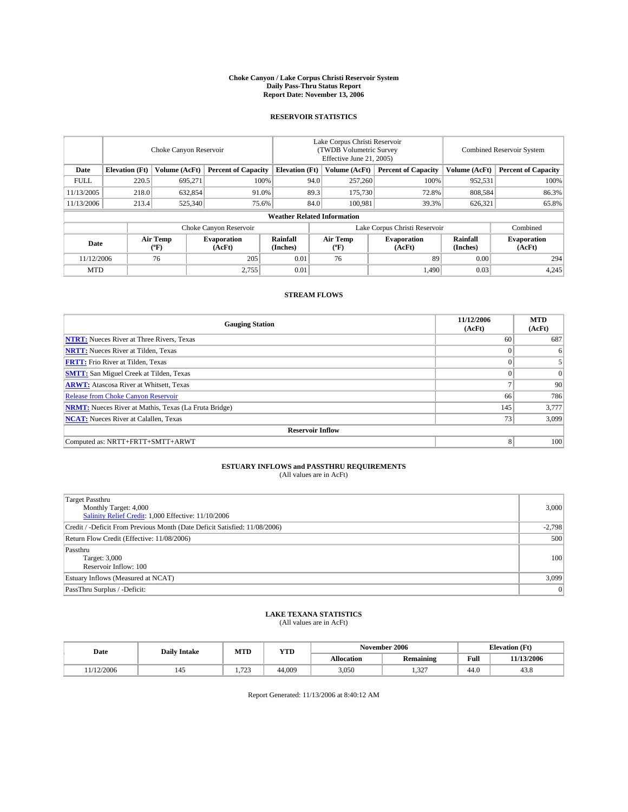#### **Choke Canyon / Lake Corpus Christi Reservoir System Daily Pass-Thru Status Report Report Date: November 13, 2006**

#### **RESERVOIR STATISTICS**

|             | Choke Canyon Reservoir             |                                             |                              |                       | Lake Corpus Christi Reservoir<br>(TWDB Volumetric Survey<br>Effective June 21, 2005) |                  |                               |                      | <b>Combined Reservoir System</b> |  |  |  |
|-------------|------------------------------------|---------------------------------------------|------------------------------|-----------------------|--------------------------------------------------------------------------------------|------------------|-------------------------------|----------------------|----------------------------------|--|--|--|
| Date        | <b>Elevation</b> (Ft)              | Volume (AcFt)<br><b>Percent of Capacity</b> |                              | <b>Elevation</b> (Ft) |                                                                                      | Volume (AcFt)    | <b>Percent of Capacity</b>    | Volume (AcFt)        | <b>Percent of Capacity</b>       |  |  |  |
| <b>FULL</b> | 220.5                              | 695.271                                     | 100%                         |                       | 94.0                                                                                 | 257,260          | 100%                          | 952,531              | 100%                             |  |  |  |
| 11/13/2005  | 218.0                              | 632,854                                     | 91.0%                        |                       | 89.3                                                                                 | 175,730          | 72.8%                         | 808,584              | 86.3%                            |  |  |  |
| 11/13/2006  | 213.4                              | 525,340                                     | 75.6%                        |                       | 84.0                                                                                 | 100.981          | 39.3%                         | 626,321              | 65.8%                            |  |  |  |
|             | <b>Weather Related Information</b> |                                             |                              |                       |                                                                                      |                  |                               |                      |                                  |  |  |  |
|             |                                    |                                             | Choke Canyon Reservoir       |                       |                                                                                      |                  | Lake Corpus Christi Reservoir |                      | Combined                         |  |  |  |
| Date        |                                    | Air Temp<br>(°F)                            | <b>Evaporation</b><br>(AcFt) | Rainfall<br>(Inches)  |                                                                                      | Air Temp<br>("F) | <b>Evaporation</b><br>(AcFt)  | Rainfall<br>(Inches) | <b>Evaporation</b><br>(AcFt)     |  |  |  |
| 11/12/2006  |                                    | 76                                          | 205                          | 0.01                  |                                                                                      | 76               | 89                            | 0.00                 | 294                              |  |  |  |
| <b>MTD</b>  |                                    |                                             | 2,755                        | 0.01                  |                                                                                      |                  | 1.490                         | 0.03                 | 4,245                            |  |  |  |

### **STREAM FLOWS**

| <b>Gauging Station</b>                                       | 11/12/2006<br>(AcFt) | <b>MTD</b><br>(AcFt) |
|--------------------------------------------------------------|----------------------|----------------------|
| <b>NTRT:</b> Nueces River at Three Rivers, Texas             | 60                   | 687                  |
| <b>NRTT:</b> Nueces River at Tilden, Texas                   | $\theta$             | 6                    |
| <b>FRTT:</b> Frio River at Tilden, Texas                     | $\Omega$             | 5 <sup>1</sup>       |
| <b>SMTT:</b> San Miguel Creek at Tilden, Texas               | $\theta$             | $\overline{0}$       |
| <b>ARWT:</b> Atascosa River at Whitsett, Texas               | o                    | 90                   |
| <b>Release from Choke Canyon Reservoir</b>                   | 66                   | 786                  |
| <b>NRMT:</b> Nueces River at Mathis, Texas (La Fruta Bridge) | 145                  | 3,777                |
| <b>NCAT:</b> Nueces River at Calallen, Texas                 | 73                   | 3,099                |
| <b>Reservoir Inflow</b>                                      |                      |                      |
| Computed as: NRTT+FRTT+SMTT+ARWT                             | 8                    | 100                  |

# **ESTUARY INFLOWS and PASSTHRU REQUIREMENTS**<br>(All values are in AcFt)

| <b>Target Passthru</b><br>Monthly Target: 4,000<br>Salinity Relief Credit: 1,000 Effective: 11/10/2006 | 3,000    |
|--------------------------------------------------------------------------------------------------------|----------|
| Credit / -Deficit From Previous Month (Date Deficit Satisfied: 11/08/2006)                             | $-2,798$ |
| Return Flow Credit (Effective: 11/08/2006)                                                             | 500      |
| Passthru<br>Target: 3,000<br>Reservoir Inflow: 100                                                     | 100      |
| Estuary Inflows (Measured at NCAT)                                                                     | 3,099    |
| PassThru Surplus / -Deficit:                                                                           | 0        |

#### **LAKE TEXANA STATISTICS** (All values are in AcFt)

|  | Date      | <b>Daily Intake</b> | MTT<br>MIL    | YTD    | November 2006     |                  |      | <b>Elevation (Ft)</b> |
|--|-----------|---------------------|---------------|--------|-------------------|------------------|------|-----------------------|
|  |           |                     |               |        | <b>Allocation</b> | <b>Remaining</b> | Full | 11/13/2006            |
|  | 1/12/2006 |                     | 722<br>ل کے ا | 44,009 | 3,050             | $\sim$<br>1.52.  | 44.0 | 45.0                  |

Report Generated: 11/13/2006 at 8:40:12 AM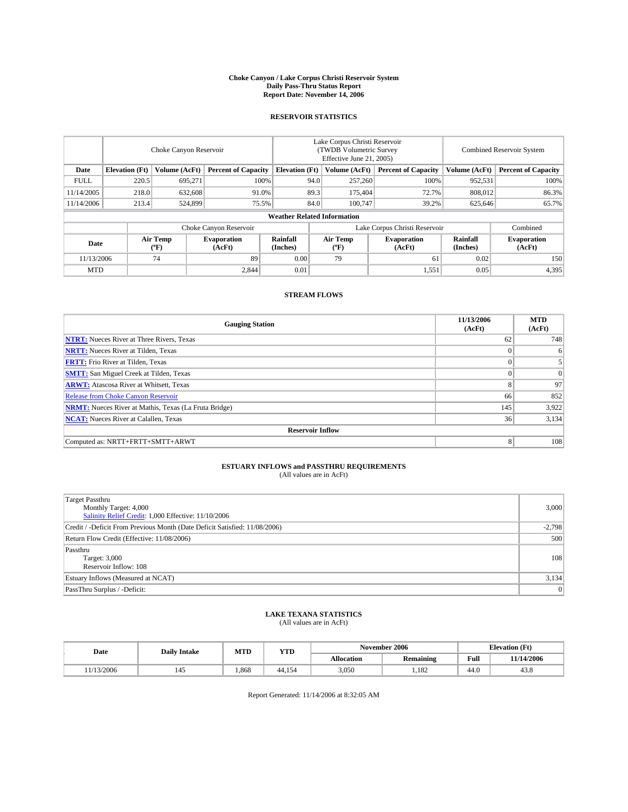#### **Choke Canyon / Lake Corpus Christi Reservoir System Daily Pass-Thru Status Report Report Date: November 14, 2006**

#### **RESERVOIR STATISTICS**

|                                                                              | Choke Canyon Reservoir             |                         |                              |                      | Lake Corpus Christi Reservoir<br>(TWDB Volumetric Survey<br>Effective June 21, 2005) |                  |                               |                      | Combined Reservoir System    |  |  |  |  |
|------------------------------------------------------------------------------|------------------------------------|-------------------------|------------------------------|----------------------|--------------------------------------------------------------------------------------|------------------|-------------------------------|----------------------|------------------------------|--|--|--|--|
| Date<br><b>Elevation</b> (Ft)<br>Volume (AcFt)<br><b>Percent of Capacity</b> |                                    | <b>Elevation</b> (Ft)   |                              | Volume (AcFt)        | <b>Percent of Capacity</b>                                                           | Volume (AcFt)    | <b>Percent of Capacity</b>    |                      |                              |  |  |  |  |
| <b>FULL</b>                                                                  | 220.5                              | 695.271                 | 100%                         |                      | 94.0                                                                                 | 257,260          | 100%                          | 952,531              | 100%                         |  |  |  |  |
| 11/14/2005                                                                   | 218.0                              | 632,608                 | 91.0%                        |                      | 89.3                                                                                 | 175,404          | 72.7%                         | 808,012              | 86.3%                        |  |  |  |  |
| 11/14/2006                                                                   | 213.4                              | 524,899                 |                              | 84.0<br>75.5%        |                                                                                      | 100.747          | 39.2%                         | 625,646              | 65.7%                        |  |  |  |  |
|                                                                              | <b>Weather Related Information</b> |                         |                              |                      |                                                                                      |                  |                               |                      |                              |  |  |  |  |
|                                                                              |                                    |                         | Choke Canyon Reservoir       |                      |                                                                                      |                  | Lake Corpus Christi Reservoir |                      | Combined                     |  |  |  |  |
| Date                                                                         |                                    | <b>Air Temp</b><br>(°F) | <b>Evaporation</b><br>(AcFt) | Rainfall<br>(Inches) |                                                                                      | Air Temp<br>("F) | <b>Evaporation</b><br>(AcFt)  | Rainfall<br>(Inches) | <b>Evaporation</b><br>(AcFt) |  |  |  |  |
| 11/13/2006                                                                   |                                    | 74                      | 89                           | 0.00                 |                                                                                      | 79               | 61                            | 0.02                 | 150                          |  |  |  |  |
| <b>MTD</b>                                                                   |                                    |                         | 2,844                        | 0.01                 |                                                                                      |                  | 1,551                         | 0.05                 | 4,395                        |  |  |  |  |

### **STREAM FLOWS**

| <b>Gauging Station</b>                                       | 11/13/2006<br>(AcFt) | <b>MTD</b><br>(AcFt) |
|--------------------------------------------------------------|----------------------|----------------------|
| <b>NTRT:</b> Nueces River at Three Rivers, Texas             | 62                   | 748                  |
| <b>NRTT:</b> Nueces River at Tilden, Texas                   | $\Omega$             | 6                    |
| <b>FRTT:</b> Frio River at Tilden, Texas                     | $\Omega$             | 5 <sup>1</sup>       |
| <b>SMTT:</b> San Miguel Creek at Tilden, Texas               | $\theta$             | $\overline{0}$       |
| <b>ARWT:</b> Atascosa River at Whitsett, Texas               | 8                    | 97                   |
| <b>Release from Choke Canyon Reservoir</b>                   | 66                   | 852                  |
| <b>NRMT:</b> Nueces River at Mathis, Texas (La Fruta Bridge) | 145                  | 3,922                |
| <b>NCAT:</b> Nueces River at Calallen, Texas                 | 36                   | 3,134                |
| <b>Reservoir Inflow</b>                                      |                      |                      |
| Computed as: NRTT+FRTT+SMTT+ARWT                             | 8                    | 108                  |

# **ESTUARY INFLOWS and PASSTHRU REQUIREMENTS**<br>(All values are in AcFt)

| <b>Target Passthru</b><br>Monthly Target: 4,000<br>Salinity Relief Credit: 1,000 Effective: 11/10/2006 | 3,000          |
|--------------------------------------------------------------------------------------------------------|----------------|
| Credit / -Deficit From Previous Month (Date Deficit Satisfied: 11/08/2006)                             | $-2,798$       |
| Return Flow Credit (Effective: 11/08/2006)                                                             | 500            |
| Passthru<br>Target: 3,000<br>Reservoir Inflow: 108                                                     | 108            |
| Estuary Inflows (Measured at NCAT)                                                                     | 3,134          |
| PassThru Surplus / -Deficit:                                                                           | $\overline{0}$ |

#### **LAKE TEXANA STATISTICS** (All values are in AcFt)

|  | Date      | <b>Daily Intake</b> | MTT<br>MIL | YTD    | November 2006 |                          |      | <b>Elevation (Ft)</b> |
|--|-----------|---------------------|------------|--------|---------------|--------------------------|------|-----------------------|
|  |           |                     |            |        | Allocation    | <b>Remaining</b>         | Full | 11/14/2006            |
|  | 1/13/2006 |                     | .868       | 44.154 | 3,050         | 10 <sup>o</sup><br>1.182 | 44.0 | 45.6                  |

Report Generated: 11/14/2006 at 8:32:05 AM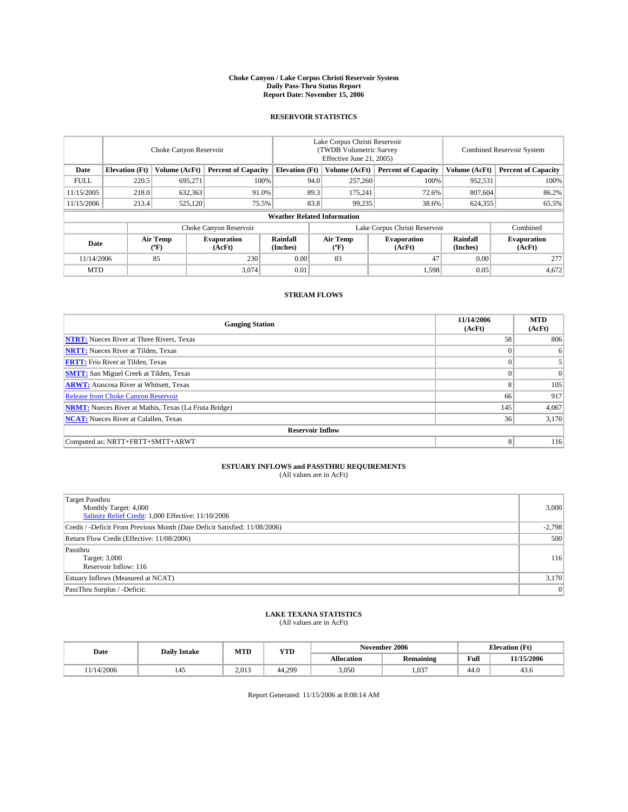#### **Choke Canyon / Lake Corpus Christi Reservoir System Daily Pass-Thru Status Report Report Date: November 15, 2006**

#### **RESERVOIR STATISTICS**

|             | Choke Canyon Reservoir             |                                             |                              |                       | Lake Corpus Christi Reservoir<br>(TWDB Volumetric Survey<br>Effective June 21, 2005) |                  |                               |                      | Combined Reservoir System    |  |  |  |
|-------------|------------------------------------|---------------------------------------------|------------------------------|-----------------------|--------------------------------------------------------------------------------------|------------------|-------------------------------|----------------------|------------------------------|--|--|--|
| Date        | <b>Elevation</b> (Ft)              | Volume (AcFt)<br><b>Percent of Capacity</b> |                              | <b>Elevation</b> (Ft) |                                                                                      | Volume (AcFt)    | <b>Percent of Capacity</b>    | Volume (AcFt)        | <b>Percent of Capacity</b>   |  |  |  |
| <b>FULL</b> | 220.5                              | 695.271                                     | 100%                         |                       | 94.0                                                                                 | 257,260          | 100%                          | 952,531              | 100%                         |  |  |  |
| 11/15/2005  | 218.0                              | 632,363                                     |                              | 89.3<br>91.0%         |                                                                                      | 175,241          | 72.6%                         | 807,604              | 86.2%                        |  |  |  |
| 11/15/2006  | 213.4                              | 525,120                                     | 75.5%                        |                       | 83.8                                                                                 | 99,235           | 38.6%                         | 624,355              | 65.5%                        |  |  |  |
|             | <b>Weather Related Information</b> |                                             |                              |                       |                                                                                      |                  |                               |                      |                              |  |  |  |
|             |                                    |                                             | Choke Canyon Reservoir       |                       |                                                                                      |                  | Lake Corpus Christi Reservoir |                      | Combined                     |  |  |  |
| Date        |                                    | <b>Air Temp</b><br>(°F)                     | <b>Evaporation</b><br>(AcFt) | Rainfall<br>(Inches)  |                                                                                      | Air Temp<br>("F) | <b>Evaporation</b><br>(AcFt)  | Rainfall<br>(Inches) | <b>Evaporation</b><br>(AcFt) |  |  |  |
| 11/14/2006  |                                    | 85                                          | 230                          | 0.00                  |                                                                                      | 83               | 47                            | 0.00                 | 277                          |  |  |  |
| <b>MTD</b>  |                                    |                                             | 3,074                        | 0.01                  |                                                                                      |                  | 1,598                         | 0.05                 | 4,672                        |  |  |  |

## **STREAM FLOWS**

| <b>Gauging Station</b>                                       | 11/14/2006<br>(AcFt) | <b>MTD</b><br>(AcFt) |
|--------------------------------------------------------------|----------------------|----------------------|
| <b>NTRT:</b> Nueces River at Three Rivers, Texas             | 58                   | 806                  |
| <b>NRTT:</b> Nueces River at Tilden, Texas                   | $\Omega$             | 6                    |
| <b>FRTT:</b> Frio River at Tilden, Texas                     | $\Omega$             | 5 <sup>1</sup>       |
| <b>SMTT:</b> San Miguel Creek at Tilden, Texas               | $\theta$             | $\overline{0}$       |
| <b>ARWT:</b> Atascosa River at Whitsett, Texas               | 8                    | 105                  |
| <b>Release from Choke Canyon Reservoir</b>                   | 66                   | 917                  |
| <b>NRMT:</b> Nueces River at Mathis, Texas (La Fruta Bridge) | 145                  | 4,067                |
| <b>NCAT:</b> Nueces River at Calallen, Texas                 | 36                   | 3,170                |
| <b>Reservoir Inflow</b>                                      |                      |                      |
| Computed as: NRTT+FRTT+SMTT+ARWT                             | 8                    | 116                  |

# **ESTUARY INFLOWS and PASSTHRU REQUIREMENTS**<br>(All values are in AcFt)

| <b>Target Passthru</b><br>Monthly Target: 4,000<br>Salinity Relief Credit: 1,000 Effective: 11/10/2006 | 3,000          |
|--------------------------------------------------------------------------------------------------------|----------------|
| Credit / -Deficit From Previous Month (Date Deficit Satisfied: 11/08/2006)                             | $-2,798$       |
| Return Flow Credit (Effective: 11/08/2006)                                                             | 500            |
| Passthru<br>Target: 3,000<br>Reservoir Inflow: 116                                                     | 116            |
| Estuary Inflows (Measured at NCAT)                                                                     | 3,170          |
| PassThru Surplus / -Deficit:                                                                           | $\overline{0}$ |

#### **LAKE TEXANA STATISTICS** (All values are in AcFt)

|  | Date      | <b>Daily Intake</b> | MTT<br>MIL | YTD    | November 2006 |                  |      | <b>Elevation (Ft)</b> |
|--|-----------|---------------------|------------|--------|---------------|------------------|------|-----------------------|
|  |           |                     |            |        | Allocation    | <b>Remaining</b> | Full | 11/15/2006            |
|  | 1/14/2006 |                     | 2.013      | 44.299 | 3,050         | 1.037            | 44.0 | 45.0                  |

Report Generated: 11/15/2006 at 8:08:14 AM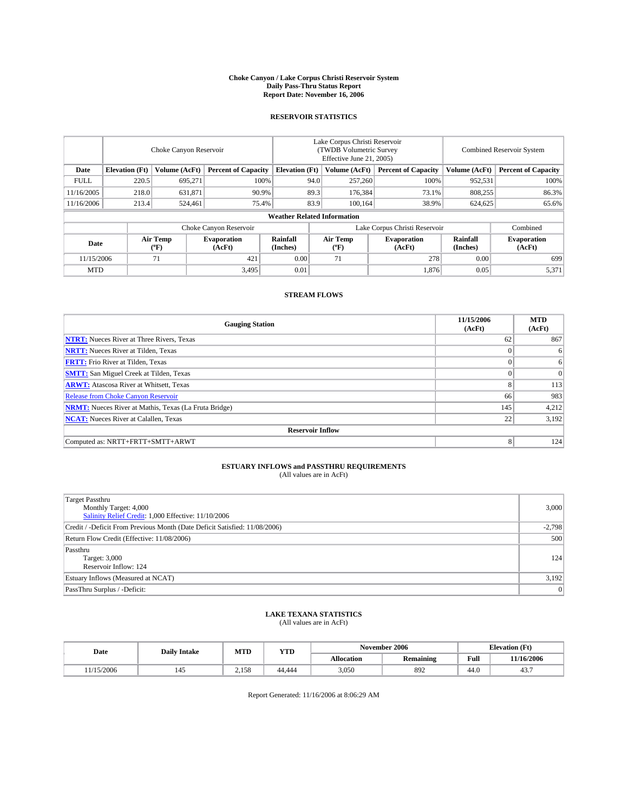#### **Choke Canyon / Lake Corpus Christi Reservoir System Daily Pass-Thru Status Report Report Date: November 16, 2006**

### **RESERVOIR STATISTICS**

|             | Choke Canyon Reservoir             |                         |                              |                       | Lake Corpus Christi Reservoir<br>(TWDB Volumetric Survey<br>Effective June 21, 2005) |                  |                               |                      | Combined Reservoir System    |  |  |  |
|-------------|------------------------------------|-------------------------|------------------------------|-----------------------|--------------------------------------------------------------------------------------|------------------|-------------------------------|----------------------|------------------------------|--|--|--|
| Date        | <b>Elevation</b> (Ft)              | Volume (AcFt)           | <b>Percent of Capacity</b>   | <b>Elevation</b> (Ft) |                                                                                      | Volume (AcFt)    | <b>Percent of Capacity</b>    | Volume (AcFt)        | <b>Percent of Capacity</b>   |  |  |  |
| <b>FULL</b> | 220.5                              | 695.271                 | 100%                         |                       | 94.0                                                                                 | 257,260          | 100%                          | 952,531              | 100%                         |  |  |  |
| 11/16/2005  | 218.0                              | 631,871                 |                              | 89.3<br>90.9%         |                                                                                      | 176,384          | 73.1%                         | 808,255              | 86.3%                        |  |  |  |
| 11/16/2006  | 213.4                              | 524,461                 | 75.4%                        |                       | 83.9                                                                                 | 100.164          | 38.9%                         | 624,625              | 65.6%                        |  |  |  |
|             | <b>Weather Related Information</b> |                         |                              |                       |                                                                                      |                  |                               |                      |                              |  |  |  |
|             |                                    |                         | Choke Canyon Reservoir       |                       |                                                                                      |                  | Lake Corpus Christi Reservoir |                      | Combined                     |  |  |  |
| Date        |                                    | <b>Air Temp</b><br>(°F) | <b>Evaporation</b><br>(AcFt) | Rainfall<br>(Inches)  |                                                                                      | Air Temp<br>("F) | <b>Evaporation</b><br>(AcFt)  | Rainfall<br>(Inches) | <b>Evaporation</b><br>(AcFt) |  |  |  |
| 11/15/2006  |                                    | 71                      | 421                          | 0.00                  |                                                                                      | 71               | 278                           | 0.00                 | 699                          |  |  |  |
| <b>MTD</b>  |                                    |                         | 3,495                        | 0.01                  |                                                                                      |                  | 1,876                         | 0.05                 | 5,371                        |  |  |  |

### **STREAM FLOWS**

| <b>Gauging Station</b>                                       | 11/15/2006<br>(AcFt) | <b>MTD</b><br>(AcFt) |
|--------------------------------------------------------------|----------------------|----------------------|
| <b>NTRT:</b> Nueces River at Three Rivers, Texas             | 62                   | 867                  |
| <b>NRTT:</b> Nueces River at Tilden, Texas                   | $\theta$             | 6                    |
| <b>FRTT:</b> Frio River at Tilden, Texas                     | $\Omega$             | 6 <sup>1</sup>       |
| <b>SMTT:</b> San Miguel Creek at Tilden, Texas               | $\theta$             | $\overline{0}$       |
| <b>ARWT:</b> Atascosa River at Whitsett, Texas               | 8                    | 113                  |
| <b>Release from Choke Canyon Reservoir</b>                   | 66                   | 983                  |
| <b>NRMT:</b> Nueces River at Mathis, Texas (La Fruta Bridge) | 145                  | 4,212                |
| <b>NCAT:</b> Nueces River at Calallen, Texas                 | 22                   | 3,192                |
| <b>Reservoir Inflow</b>                                      |                      |                      |
| Computed as: NRTT+FRTT+SMTT+ARWT                             | 8                    | 124                  |

# **ESTUARY INFLOWS and PASSTHRU REQUIREMENTS**<br>(All values are in AcFt)

| <b>Target Passthru</b><br>Monthly Target: 4,000<br>Salinity Relief Credit: 1,000 Effective: 11/10/2006 | 3,000          |
|--------------------------------------------------------------------------------------------------------|----------------|
| Credit / -Deficit From Previous Month (Date Deficit Satisfied: 11/08/2006)                             | $-2,798$       |
| Return Flow Credit (Effective: 11/08/2006)                                                             | 500            |
| Passthru<br>Target: 3,000<br>Reservoir Inflow: 124                                                     | 124            |
| Estuary Inflows (Measured at NCAT)                                                                     | 3,192          |
| PassThru Surplus / -Deficit:                                                                           | $\overline{0}$ |

#### **LAKE TEXANA STATISTICS** (All values are in AcFt)

| Date      | <b>Daily Intake</b> | MTT<br>MIL | YTD    |            | November 2006    | <b>Elevation (Ft)</b> |            |
|-----------|---------------------|------------|--------|------------|------------------|-----------------------|------------|
|           |                     |            |        | Allocation | <b>Remaining</b> | Full                  | 11/16/2006 |
| 1/15/2006 |                     | 2.158      | 44.444 | 3,050      | 892              | 44.0                  | 45.,       |

Report Generated: 11/16/2006 at 8:06:29 AM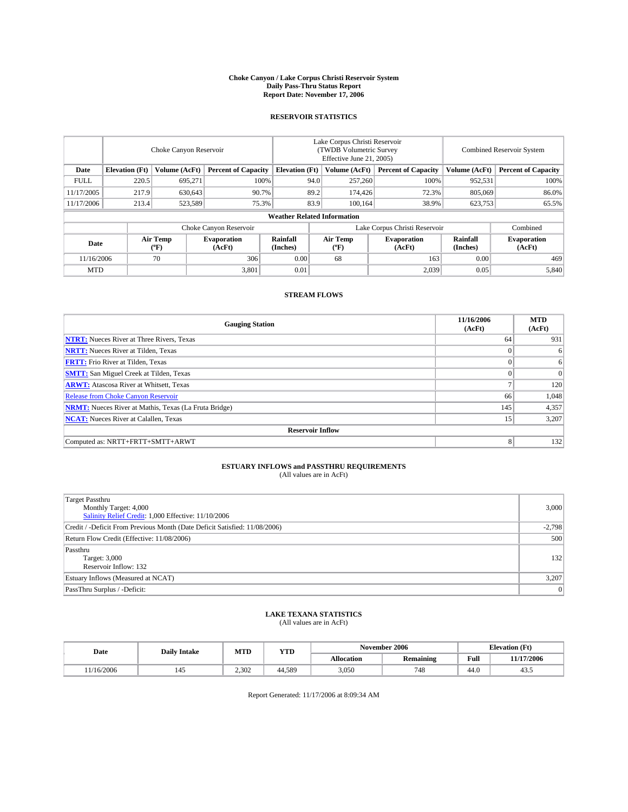#### **Choke Canyon / Lake Corpus Christi Reservoir System Daily Pass-Thru Status Report Report Date: November 17, 2006**

#### **RESERVOIR STATISTICS**

|             | Choke Canyon Reservoir                                               |                         |                              |                      | Lake Corpus Christi Reservoir<br>(TWDB Volumetric Survey<br>Effective June 21, 2005) |                            |                               | Combined Reservoir System  |                              |  |  |  |
|-------------|----------------------------------------------------------------------|-------------------------|------------------------------|----------------------|--------------------------------------------------------------------------------------|----------------------------|-------------------------------|----------------------------|------------------------------|--|--|--|
| Date        | <b>Elevation</b> (Ft)<br>Volume (AcFt)<br><b>Percent of Capacity</b> |                         | <b>Elevation</b> (Ft)        |                      | Volume (AcFt)                                                                        | <b>Percent of Capacity</b> | Volume (AcFt)                 | <b>Percent of Capacity</b> |                              |  |  |  |
| <b>FULL</b> | 220.5                                                                | 695,271                 |                              | 100%                 | 94.0                                                                                 | 257,260                    | 100%                          | 952,531                    | 100%                         |  |  |  |
| 11/17/2005  | 217.9                                                                | 630,643                 | 90.7%                        |                      | 89.2                                                                                 | 174,426                    | 72.3%                         | 805,069                    | 86.0%                        |  |  |  |
| 11/17/2006  | 213.4                                                                | 523,589                 | 75.3%                        |                      | 83.9                                                                                 | 100.164                    | 38.9%                         | 623,753                    | 65.5%                        |  |  |  |
|             | <b>Weather Related Information</b>                                   |                         |                              |                      |                                                                                      |                            |                               |                            |                              |  |  |  |
|             |                                                                      |                         | Choke Canyon Reservoir       |                      |                                                                                      |                            | Lake Corpus Christi Reservoir |                            | Combined                     |  |  |  |
| Date        |                                                                      | <b>Air Temp</b><br>(°F) | <b>Evaporation</b><br>(AcFt) | Rainfall<br>(Inches) |                                                                                      | Air Temp<br>("F)           | <b>Evaporation</b><br>(AcFt)  | Rainfall<br>(Inches)       | <b>Evaporation</b><br>(AcFt) |  |  |  |
| 11/16/2006  |                                                                      | 70                      | 306                          | 0.00                 |                                                                                      | 68                         | 163                           | 0.00                       | 469                          |  |  |  |
| <b>MTD</b>  |                                                                      |                         | 3,801                        | 0.01                 |                                                                                      |                            | 2,039                         | 0.05                       | 5,840                        |  |  |  |

## **STREAM FLOWS**

| <b>Gauging Station</b>                                       | 11/16/2006<br>(AcFt) | <b>MTD</b><br>(AcFt) |
|--------------------------------------------------------------|----------------------|----------------------|
| <b>NTRT:</b> Nueces River at Three Rivers, Texas             | 64                   | 931                  |
| <b>NRTT:</b> Nueces River at Tilden, Texas                   | $\Omega$             | 6                    |
| <b>FRTT:</b> Frio River at Tilden, Texas                     | $\Omega$             | 6                    |
| <b>SMTT:</b> San Miguel Creek at Tilden, Texas               |                      | $\Omega$             |
| <b>ARWT:</b> Atascosa River at Whitsett, Texas               | o                    | 120                  |
| <b>Release from Choke Canyon Reservoir</b>                   | 66                   | 1,048                |
| <b>NRMT:</b> Nueces River at Mathis, Texas (La Fruta Bridge) | 145                  | 4,357                |
| <b>NCAT:</b> Nueces River at Calallen, Texas                 | 15                   | 3,207                |
| <b>Reservoir Inflow</b>                                      |                      |                      |
| Computed as: NRTT+FRTT+SMTT+ARWT                             | 8                    | 132                  |

## **ESTUARY INFLOWS and PASSTHRU REQUIREMENTS**<br>(All values are in AcFt)

| <b>Target Passthru</b><br>Monthly Target: 4,000<br>Salinity Relief Credit: 1,000 Effective: 11/10/2006 | 3,000          |
|--------------------------------------------------------------------------------------------------------|----------------|
| Credit / -Deficit From Previous Month (Date Deficit Satisfied: 11/08/2006)                             | $-2,798$       |
| Return Flow Credit (Effective: 11/08/2006)                                                             | 500            |
| Passthru<br>Target: 3,000<br>Reservoir Inflow: 132                                                     | 132            |
| Estuary Inflows (Measured at NCAT)                                                                     | 3,207          |
| PassThru Surplus / -Deficit:                                                                           | $\overline{0}$ |

#### **LAKE TEXANA STATISTICS** (All values are in AcFt)

|  | Date      | <b>Daily Intake</b> | MTT<br>YTD<br>MIL |        |            | November 2006    | <b>Elevation (Ft)</b> |            |
|--|-----------|---------------------|-------------------|--------|------------|------------------|-----------------------|------------|
|  |           |                     |                   |        | Allocation | <b>Remaining</b> | Full                  | 11/17/2006 |
|  | 1/16/2006 |                     | 2.302             | 44.589 | 3,050      | 748              | 44.0                  | $+5.5$     |

Report Generated: 11/17/2006 at 8:09:34 AM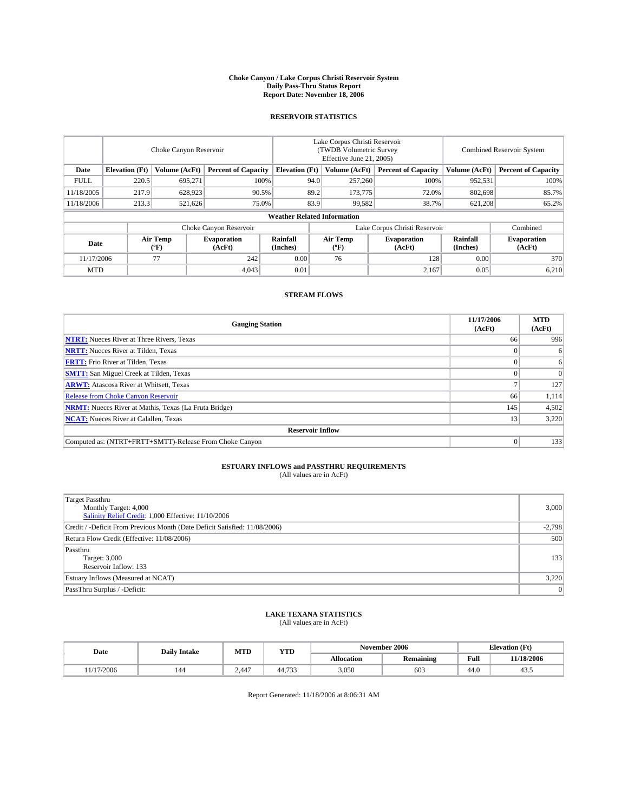#### **Choke Canyon / Lake Corpus Christi Reservoir System Daily Pass-Thru Status Report Report Date: November 18, 2006**

### **RESERVOIR STATISTICS**

|             | Choke Canyon Reservoir             |                  |                              |                       | Lake Corpus Christi Reservoir<br>(TWDB Volumetric Survey<br>Effective June 21, 2005) |                  |                               | Combined Reservoir System |                              |  |  |  |
|-------------|------------------------------------|------------------|------------------------------|-----------------------|--------------------------------------------------------------------------------------|------------------|-------------------------------|---------------------------|------------------------------|--|--|--|
| Date        | <b>Elevation</b> (Ft)              | Volume (AcFt)    | <b>Percent of Capacity</b>   | <b>Elevation</b> (Ft) |                                                                                      | Volume (AcFt)    | <b>Percent of Capacity</b>    | Volume (AcFt)             | <b>Percent of Capacity</b>   |  |  |  |
| <b>FULL</b> | 220.5                              | 695.271          |                              | 100%                  | 94.0                                                                                 | 257,260          | 100%                          | 952,531                   | 100%                         |  |  |  |
| 11/18/2005  | 217.9                              | 628,923          | 90.5%                        |                       | 89.2                                                                                 | 173,775          | 72.0%                         | 802,698                   | 85.7%                        |  |  |  |
| 11/18/2006  | 213.3                              | 521,626          | 75.0%                        |                       | 83.9                                                                                 | 99,582           | 38.7%                         | 621,208                   | 65.2%                        |  |  |  |
|             | <b>Weather Related Information</b> |                  |                              |                       |                                                                                      |                  |                               |                           |                              |  |  |  |
|             |                                    |                  | Choke Canyon Reservoir       |                       |                                                                                      |                  | Lake Corpus Christi Reservoir |                           | Combined                     |  |  |  |
| Date        |                                    | Air Temp<br>(°F) | <b>Evaporation</b><br>(AcFt) | Rainfall<br>(Inches)  |                                                                                      | Air Temp<br>("F) | <b>Evaporation</b><br>(AcFt)  | Rainfall<br>(Inches)      | <b>Evaporation</b><br>(AcFt) |  |  |  |
| 11/17/2006  |                                    | 77               | 242                          | 0.00                  |                                                                                      | 76               | 128                           | 0.00                      | 370                          |  |  |  |
| <b>MTD</b>  |                                    |                  | 4,043                        | 0.01                  |                                                                                      |                  | 2,167                         | 0.05                      | 6,210                        |  |  |  |

### **STREAM FLOWS**

| <b>Gauging Station</b>                                       | 11/17/2006<br>(AcFt) | <b>MTD</b><br>(AcFt) |
|--------------------------------------------------------------|----------------------|----------------------|
| <b>NTRT:</b> Nueces River at Three Rivers, Texas             | 66                   | 996                  |
| <b>NRTT:</b> Nueces River at Tilden, Texas                   |                      | 6                    |
| <b>FRTT:</b> Frio River at Tilden, Texas                     |                      | 6                    |
| <b>SMTT:</b> San Miguel Creek at Tilden, Texas               |                      | $\Omega$             |
| <b>ARWT:</b> Atascosa River at Whitsett, Texas               |                      | 127                  |
| <b>Release from Choke Canyon Reservoir</b>                   | 66                   | 1,114                |
| <b>NRMT:</b> Nueces River at Mathis, Texas (La Fruta Bridge) | 145                  | 4,502                |
| <b>NCAT:</b> Nueces River at Calallen, Texas                 | 13                   | 3,220                |
| <b>Reservoir Inflow</b>                                      |                      |                      |
| Computed as: (NTRT+FRTT+SMTT)-Release From Choke Canyon      | $\Omega$             | 133                  |

## **ESTUARY INFLOWS and PASSTHRU REQUIREMENTS**<br>(All values are in AcFt)

| <b>Target Passthru</b><br>Monthly Target: 4,000<br>Salinity Relief Credit: 1,000 Effective: 11/10/2006 | 3,000    |
|--------------------------------------------------------------------------------------------------------|----------|
| Credit / -Deficit From Previous Month (Date Deficit Satisfied: 11/08/2006)                             | $-2,798$ |
| Return Flow Credit (Effective: 11/08/2006)                                                             | 500      |
| Passthru<br>Target: 3,000<br>Reservoir Inflow: 133                                                     | 133      |
| Estuary Inflows (Measured at NCAT)                                                                     | 3,220    |
| PassThru Surplus / -Deficit:                                                                           | 0        |

#### **LAKE TEXANA STATISTICS** (All values are in AcFt)

|  | Date          | <b>Daily Intake</b> | MTT<br>YTD<br>IVI I L |                          |            | November 2006    | <b>Elevation (Ft)</b> |            |
|--|---------------|---------------------|-----------------------|--------------------------|------------|------------------|-----------------------|------------|
|  |               |                     |                       |                          | Allocation | <b>Remaining</b> | Full                  | 11/18/2006 |
|  | /2006<br>1/17 | 144                 | 2.447                 | $\overline{a}$<br>44.133 | 3,050      | 603              | 44.0                  | 40.0       |

Report Generated: 11/18/2006 at 8:06:31 AM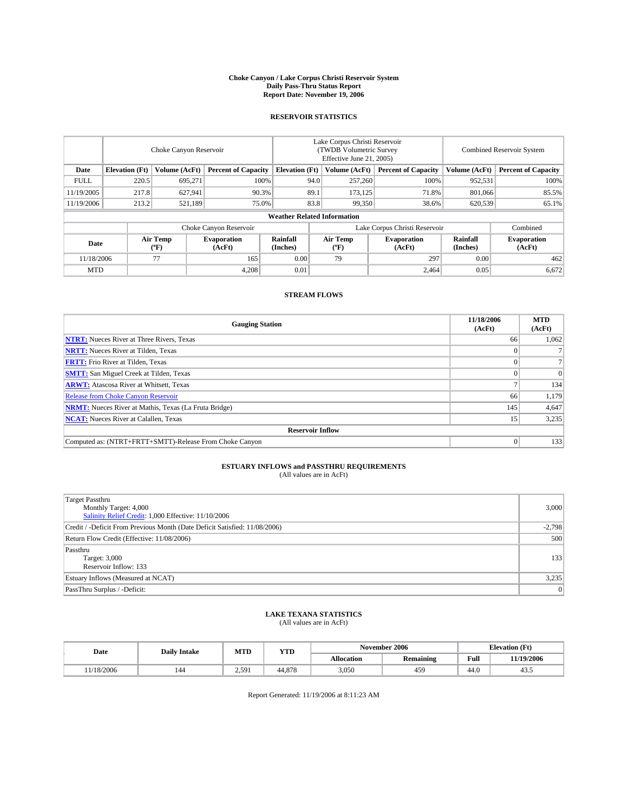#### **Choke Canyon / Lake Corpus Christi Reservoir System Daily Pass-Thru Status Report Report Date: November 19, 2006**

### **RESERVOIR STATISTICS**

|                                                                              | Choke Canyon Reservoir             |                         |                              |                      | Lake Corpus Christi Reservoir<br>(TWDB Volumetric Survey<br>Effective June 21, 2005) |                  |                               |                      | Combined Reservoir System    |  |  |  |
|------------------------------------------------------------------------------|------------------------------------|-------------------------|------------------------------|----------------------|--------------------------------------------------------------------------------------|------------------|-------------------------------|----------------------|------------------------------|--|--|--|
| Volume (AcFt)<br>Date<br><b>Elevation</b> (Ft)<br><b>Percent of Capacity</b> |                                    | <b>Elevation</b> (Ft)   |                              | Volume (AcFt)        | <b>Percent of Capacity</b>                                                           | Volume (AcFt)    | <b>Percent of Capacity</b>    |                      |                              |  |  |  |
| <b>FULL</b>                                                                  | 220.5                              | 695.271                 |                              | 100%                 | 94.0                                                                                 | 257,260          | 100%                          | 952,531              | 100%                         |  |  |  |
| 11/19/2005                                                                   | 217.8                              | 627,941                 | 90.3%                        |                      | 89.1                                                                                 | 173.125          | 71.8%                         | 801,066              | 85.5%                        |  |  |  |
| 11/19/2006                                                                   | 213.2                              | 521,189                 | 75.0%                        |                      | 83.8                                                                                 | 99,350           | 38.6%                         | 620,539              | 65.1%                        |  |  |  |
|                                                                              | <b>Weather Related Information</b> |                         |                              |                      |                                                                                      |                  |                               |                      |                              |  |  |  |
|                                                                              |                                    |                         | Choke Canyon Reservoir       |                      |                                                                                      |                  | Lake Corpus Christi Reservoir |                      | Combined                     |  |  |  |
| Date                                                                         |                                    | <b>Air Temp</b><br>(°F) | <b>Evaporation</b><br>(AcFt) | Rainfall<br>(Inches) |                                                                                      | Air Temp<br>("F) | <b>Evaporation</b><br>(AcFt)  | Rainfall<br>(Inches) | <b>Evaporation</b><br>(AcFt) |  |  |  |
| 11/18/2006                                                                   |                                    | 77                      | 165                          | 0.00                 |                                                                                      | 79               | 297                           | 0.00                 | 462                          |  |  |  |
| <b>MTD</b>                                                                   |                                    |                         | 4,208                        | 0.01                 |                                                                                      |                  | 2,464                         | 0.05                 | 6,672                        |  |  |  |

### **STREAM FLOWS**

| <b>Gauging Station</b>                                       | 11/18/2006<br>(AcFt) | <b>MTD</b><br>(AcFt) |
|--------------------------------------------------------------|----------------------|----------------------|
| <b>NTRT:</b> Nueces River at Three Rivers, Texas             | 66                   | 1,062                |
| <b>NRTT:</b> Nueces River at Tilden, Texas                   |                      |                      |
| <b>FRTT:</b> Frio River at Tilden, Texas                     |                      |                      |
| <b>SMTT:</b> San Miguel Creek at Tilden, Texas               |                      | $\Omega$             |
| <b>ARWT:</b> Atascosa River at Whitsett, Texas               |                      | 134                  |
| <b>Release from Choke Canyon Reservoir</b>                   | 66                   | 1,179                |
| <b>NRMT:</b> Nueces River at Mathis, Texas (La Fruta Bridge) | 145                  | 4,647                |
| <b>NCAT:</b> Nueces River at Calallen, Texas                 | 15                   | 3,235                |
| <b>Reservoir Inflow</b>                                      |                      |                      |
| Computed as: (NTRT+FRTT+SMTT)-Release From Choke Canyon      |                      | 133                  |

## **ESTUARY INFLOWS and PASSTHRU REQUIREMENTS**<br>(All values are in AcFt)

| <b>Target Passthru</b><br>Monthly Target: 4,000                                                                                   | 3,000        |
|-----------------------------------------------------------------------------------------------------------------------------------|--------------|
| Salinity Relief Credit: 1,000 Effective: 11/10/2006<br>Credit / -Deficit From Previous Month (Date Deficit Satisfied: 11/08/2006) | $-2,798$     |
| Return Flow Credit (Effective: 11/08/2006)                                                                                        | 500          |
| Passthru<br>Target: 3,000<br>Reservoir Inflow: 133                                                                                | 133          |
| Estuary Inflows (Measured at NCAT)                                                                                                | 3,235        |
| PassThru Surplus / -Deficit:                                                                                                      | $\mathbf{0}$ |

#### **LAKE TEXANA STATISTICS** (All values are in AcFt)

|  | Date      | <b>Daily Intake</b> | MTT<br>IVI I L | YTD    |                   | November 2006    |      | <b>Elevation (Ft)</b> |
|--|-----------|---------------------|----------------|--------|-------------------|------------------|------|-----------------------|
|  |           |                     |                |        | <b>Allocation</b> | <b>Remaining</b> | Full | 11/19/2006            |
|  | 1/18/2006 |                     | 2.591          | 44,878 | 3,050             | 459              | 44.0 | $+5.5$                |

Report Generated: 11/19/2006 at 8:11:23 AM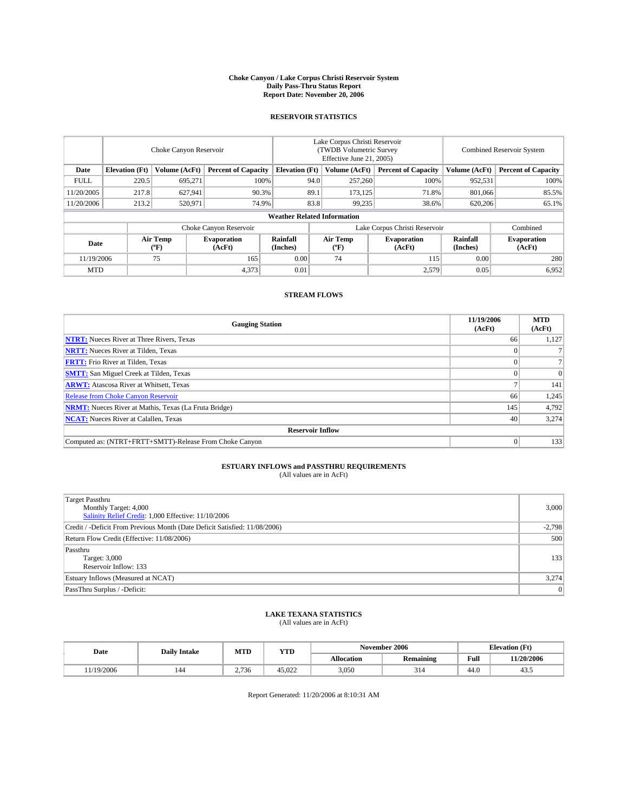#### **Choke Canyon / Lake Corpus Christi Reservoir System Daily Pass-Thru Status Report Report Date: November 20, 2006**

### **RESERVOIR STATISTICS**

|             | Choke Canyon Reservoir                                               |                         |                              |                      | Lake Corpus Christi Reservoir<br>(TWDB Volumetric Survey<br>Effective June 21, 2005) |                            |                               |                            | Combined Reservoir System    |  |  |  |  |
|-------------|----------------------------------------------------------------------|-------------------------|------------------------------|----------------------|--------------------------------------------------------------------------------------|----------------------------|-------------------------------|----------------------------|------------------------------|--|--|--|--|
| Date        | Volume (AcFt)<br><b>Elevation</b> (Ft)<br><b>Percent of Capacity</b> |                         | <b>Elevation</b> (Ft)        |                      | Volume (AcFt)                                                                        | <b>Percent of Capacity</b> | Volume (AcFt)                 | <b>Percent of Capacity</b> |                              |  |  |  |  |
| <b>FULL</b> | 220.5                                                                | 695.271                 |                              | 100%                 | 94.0                                                                                 | 257,260                    | 100%                          | 952,531                    | 100%                         |  |  |  |  |
| 11/20/2005  | 217.8                                                                | 627,941                 | 90.3%                        |                      | 89.1                                                                                 | 173.125                    | 71.8%                         | 801,066                    | 85.5%                        |  |  |  |  |
| 11/20/2006  | 213.2                                                                | 520,971                 | 74.9%                        |                      | 83.8                                                                                 | 99,235                     | 38.6%                         | 620,206                    | 65.1%                        |  |  |  |  |
|             | <b>Weather Related Information</b>                                   |                         |                              |                      |                                                                                      |                            |                               |                            |                              |  |  |  |  |
|             |                                                                      |                         | Choke Canyon Reservoir       |                      |                                                                                      |                            | Lake Corpus Christi Reservoir |                            | Combined                     |  |  |  |  |
| Date        |                                                                      | <b>Air Temp</b><br>(°F) | <b>Evaporation</b><br>(AcFt) | Rainfall<br>(Inches) |                                                                                      | Air Temp<br>("F)           | <b>Evaporation</b><br>(AcFt)  | Rainfall<br>(Inches)       | <b>Evaporation</b><br>(AcFt) |  |  |  |  |
| 11/19/2006  |                                                                      | 75                      | 165                          | 0.00                 |                                                                                      | 74                         | 115                           | 0.00                       | 280                          |  |  |  |  |
| <b>MTD</b>  |                                                                      |                         | 4,373                        | 0.01                 |                                                                                      |                            | 2,579                         | 0.05                       | 6,952                        |  |  |  |  |

### **STREAM FLOWS**

| <b>Gauging Station</b>                                       | 11/19/2006<br>(AcFt) | <b>MTD</b><br>(AcFt) |
|--------------------------------------------------------------|----------------------|----------------------|
| <b>NTRT:</b> Nueces River at Three Rivers, Texas             | 66                   | 1,127                |
| <b>NRTT:</b> Nueces River at Tilden, Texas                   |                      |                      |
| <b>FRTT:</b> Frio River at Tilden, Texas                     |                      |                      |
| <b>SMTT:</b> San Miguel Creek at Tilden, Texas               |                      | $\Omega$             |
| <b>ARWT:</b> Atascosa River at Whitsett, Texas               |                      | 141                  |
| <b>Release from Choke Canyon Reservoir</b>                   | 66                   | 1,245                |
| <b>NRMT:</b> Nueces River at Mathis, Texas (La Fruta Bridge) | 145                  | 4,792                |
| <b>NCAT:</b> Nueces River at Calallen, Texas                 | 40                   | 3,274                |
| <b>Reservoir Inflow</b>                                      |                      |                      |
| Computed as: (NTRT+FRTT+SMTT)-Release From Choke Canyon      |                      | 133                  |

## **ESTUARY INFLOWS and PASSTHRU REQUIREMENTS**<br>(All values are in AcFt)

| <b>Target Passthru</b><br>Monthly Target: 4,000<br>Salinity Relief Credit: 1,000 Effective: 11/10/2006 | 3,000        |
|--------------------------------------------------------------------------------------------------------|--------------|
| Credit / -Deficit From Previous Month (Date Deficit Satisfied: 11/08/2006)                             | $-2,798$     |
| Return Flow Credit (Effective: 11/08/2006)                                                             | 500          |
| Passthru<br>Target: 3,000<br>Reservoir Inflow: 133                                                     | 133          |
| Estuary Inflows (Measured at NCAT)                                                                     | 3,274        |
| PassThru Surplus / -Deficit:                                                                           | $\mathbf{0}$ |

#### **LAKE TEXANA STATISTICS** (All values are in AcFt)

|  | Date      | <b>Daily Intake</b> | MTT<br>MIL | YTD    |            | November 2006    |      | <b>Elevation (Ft)</b> |
|--|-----------|---------------------|------------|--------|------------|------------------|------|-----------------------|
|  |           |                     |            |        | Allocation | <b>Remaining</b> | Full | 11/20/2006            |
|  | 1/19/2006 | 144                 | 2.736      | 45.022 | 3,050      | 314              | 44.0 | 40.0                  |

Report Generated: 11/20/2006 at 8:10:31 AM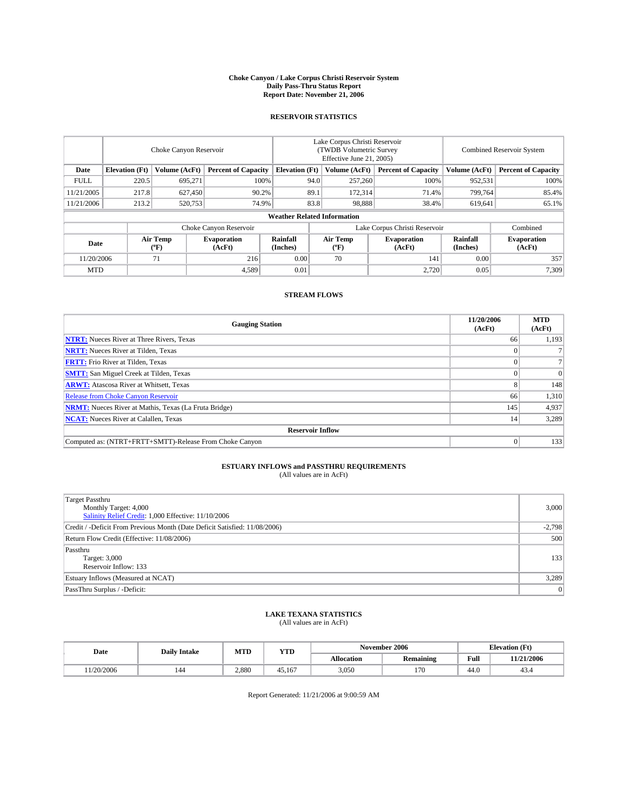#### **Choke Canyon / Lake Corpus Christi Reservoir System Daily Pass-Thru Status Report Report Date: November 21, 2006**

### **RESERVOIR STATISTICS**

|             | Choke Canyon Reservoir                                               |                         |                              |                      | Lake Corpus Christi Reservoir<br>(TWDB Volumetric Survey<br>Effective June 21, 2005) |                            |                               |                            | Combined Reservoir System    |  |  |  |
|-------------|----------------------------------------------------------------------|-------------------------|------------------------------|----------------------|--------------------------------------------------------------------------------------|----------------------------|-------------------------------|----------------------------|------------------------------|--|--|--|
| Date        | Volume (AcFt)<br><b>Elevation</b> (Ft)<br><b>Percent of Capacity</b> |                         | <b>Elevation</b> (Ft)        |                      | Volume (AcFt)                                                                        | <b>Percent of Capacity</b> | Volume (AcFt)                 | <b>Percent of Capacity</b> |                              |  |  |  |
| <b>FULL</b> | 220.5                                                                | 695.271                 |                              | 100%                 | 94.0                                                                                 | 257,260                    | 100%                          | 952,531                    | 100%                         |  |  |  |
| 11/21/2005  | 217.8                                                                | 627,450                 | 90.2%                        |                      | 89.1                                                                                 | 172,314                    | 71.4%                         | 799.764                    | 85.4%                        |  |  |  |
| 11/21/2006  | 213.2                                                                | 520,753                 | 74.9%                        |                      | 83.8                                                                                 | 98.888                     | 38.4%                         | 619,641                    | 65.1%                        |  |  |  |
|             | <b>Weather Related Information</b>                                   |                         |                              |                      |                                                                                      |                            |                               |                            |                              |  |  |  |
|             |                                                                      |                         | Choke Canyon Reservoir       |                      |                                                                                      |                            | Lake Corpus Christi Reservoir |                            | Combined                     |  |  |  |
| Date        |                                                                      | <b>Air Temp</b><br>(°F) | <b>Evaporation</b><br>(AcFt) | Rainfall<br>(Inches) |                                                                                      | Air Temp<br>("F)           | <b>Evaporation</b><br>(AcFt)  | Rainfall<br>(Inches)       | <b>Evaporation</b><br>(AcFt) |  |  |  |
| 11/20/2006  |                                                                      | 71                      | 216                          | 0.00                 |                                                                                      | 70                         | 141                           | 0.00                       | 357                          |  |  |  |
| <b>MTD</b>  |                                                                      |                         | 4,589                        | 0.01                 |                                                                                      |                            | 2,720                         | 0.05                       | 7,309                        |  |  |  |

## **STREAM FLOWS**

| <b>Gauging Station</b>                                       | 11/20/2006<br>(AcFt) | <b>MTD</b><br>(AcFt) |
|--------------------------------------------------------------|----------------------|----------------------|
| <b>NTRT:</b> Nueces River at Three Rivers, Texas             | 66                   | 1,193                |
| <b>NRTT:</b> Nueces River at Tilden, Texas                   |                      |                      |
| <b>FRTT:</b> Frio River at Tilden, Texas                     |                      |                      |
| <b>SMTT:</b> San Miguel Creek at Tilden, Texas               |                      | $\Omega$             |
| <b>ARWT:</b> Atascosa River at Whitsett, Texas               |                      | 148                  |
| <b>Release from Choke Canyon Reservoir</b>                   | 66                   | 1,310                |
| <b>NRMT:</b> Nueces River at Mathis, Texas (La Fruta Bridge) | 145                  | 4,937                |
| <b>NCAT:</b> Nueces River at Calallen, Texas                 | 14                   | 3,289                |
| <b>Reservoir Inflow</b>                                      |                      |                      |
| Computed as: (NTRT+FRTT+SMTT)-Release From Choke Canyon      |                      | 133                  |

## **ESTUARY INFLOWS and PASSTHRU REQUIREMENTS**<br>(All values are in AcFt)

| <b>Target Passthru</b><br>Monthly Target: 4,000<br>Salinity Relief Credit: 1,000 Effective: 11/10/2006 | 3,000    |
|--------------------------------------------------------------------------------------------------------|----------|
| Credit / -Deficit From Previous Month (Date Deficit Satisfied: 11/08/2006)                             | $-2,798$ |
| Return Flow Credit (Effective: 11/08/2006)                                                             | 500      |
| Passthru<br>Target: 3,000<br>Reservoir Inflow: 133                                                     | 133      |
| Estuary Inflows (Measured at NCAT)                                                                     | 3,289    |
| PassThru Surplus / -Deficit:                                                                           | 0        |

#### **LAKE TEXANA STATISTICS** (All values are in AcFt)

|  | Date      | <b>Daily Intake</b> | MTT<br>MIL | YTD    |            | November 2006    |      | <b>Elevation (Ft)</b> |
|--|-----------|---------------------|------------|--------|------------|------------------|------|-----------------------|
|  |           |                     |            |        | Allocation | <b>Remaining</b> | Full | 11/21/2006            |
|  | 1/20/2006 |                     | 2.880      | 45.167 | 3,050      | 170              | 44.0 | 45.4                  |

Report Generated: 11/21/2006 at 9:00:59 AM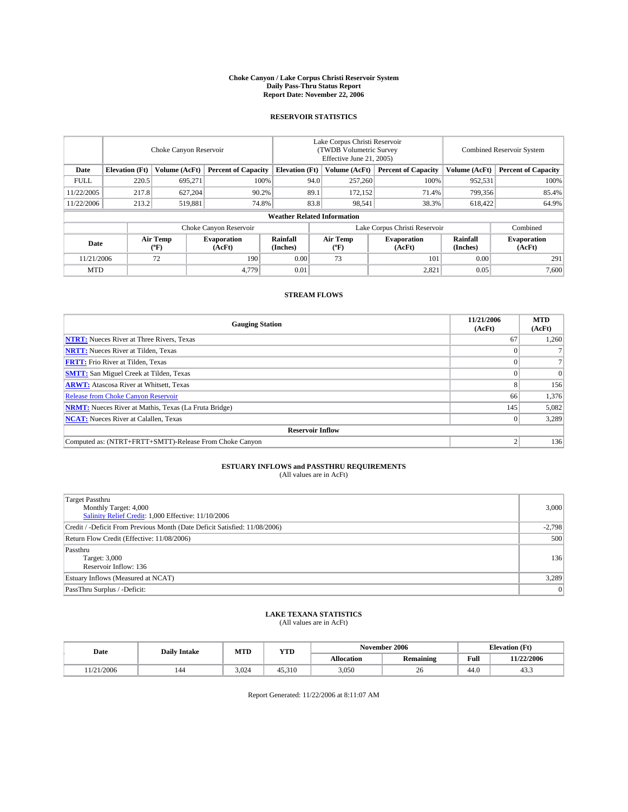#### **Choke Canyon / Lake Corpus Christi Reservoir System Daily Pass-Thru Status Report Report Date: November 22, 2006**

#### **RESERVOIR STATISTICS**

|             | Choke Canyon Reservoir             |                         |                              |                       | Lake Corpus Christi Reservoir<br>(TWDB Volumetric Survey<br>Effective June 21, 2005) |                  |                               |                      | Combined Reservoir System    |  |  |  |  |
|-------------|------------------------------------|-------------------------|------------------------------|-----------------------|--------------------------------------------------------------------------------------|------------------|-------------------------------|----------------------|------------------------------|--|--|--|--|
| Date        | <b>Elevation</b> (Ft)              | Volume (AcFt)           | <b>Percent of Capacity</b>   | <b>Elevation</b> (Ft) |                                                                                      | Volume (AcFt)    | <b>Percent of Capacity</b>    | Volume (AcFt)        | <b>Percent of Capacity</b>   |  |  |  |  |
| <b>FULL</b> | 220.5                              | 695.271                 |                              | 100%                  | 94.0                                                                                 | 257,260          | 100%                          | 952,531              | 100%                         |  |  |  |  |
| 11/22/2005  | 217.8                              | 627,204                 | 90.2%                        |                       | 89.1                                                                                 | 172,152          | 71.4%                         | 799,356              | 85.4%                        |  |  |  |  |
| 11/22/2006  | 213.2                              | 519,881                 | 74.8%                        |                       | 83.8                                                                                 | 98,541           | 38.3%                         | 618,422              | 64.9%                        |  |  |  |  |
|             | <b>Weather Related Information</b> |                         |                              |                       |                                                                                      |                  |                               |                      |                              |  |  |  |  |
|             |                                    |                         | Choke Canyon Reservoir       |                       |                                                                                      |                  | Lake Corpus Christi Reservoir |                      | Combined                     |  |  |  |  |
| Date        |                                    | <b>Air Temp</b><br>(°F) | <b>Evaporation</b><br>(AcFt) | Rainfall<br>(Inches)  |                                                                                      | Air Temp<br>("F) | <b>Evaporation</b><br>(AcFt)  | Rainfall<br>(Inches) | <b>Evaporation</b><br>(AcFt) |  |  |  |  |
| 11/21/2006  |                                    | 72                      | 190                          | 0.00                  |                                                                                      | 73               | 101                           | 0.00                 | 291                          |  |  |  |  |
| <b>MTD</b>  |                                    |                         | 4,779                        | 0.01                  |                                                                                      |                  | 2,821                         | 0.05                 | 7,600                        |  |  |  |  |

## **STREAM FLOWS**

| <b>Gauging Station</b>                                       | 11/21/2006<br>(AcFt) | <b>MTD</b><br>(AcFt) |
|--------------------------------------------------------------|----------------------|----------------------|
| <b>NTRT:</b> Nueces River at Three Rivers, Texas             | 67                   | 1,260                |
| <b>NRTT:</b> Nueces River at Tilden, Texas                   |                      |                      |
| <b>FRTT:</b> Frio River at Tilden, Texas                     |                      |                      |
| <b>SMTT:</b> San Miguel Creek at Tilden, Texas               |                      | $\Omega$             |
| <b>ARWT:</b> Atascosa River at Whitsett, Texas               | 8                    | 156                  |
| <b>Release from Choke Canyon Reservoir</b>                   | 66                   | 1,376                |
| <b>NRMT:</b> Nueces River at Mathis, Texas (La Fruta Bridge) | 145                  | 5,082                |
| <b>NCAT:</b> Nueces River at Calallen, Texas                 |                      | 3,289                |
| <b>Reservoir Inflow</b>                                      |                      |                      |
| Computed as: (NTRT+FRTT+SMTT)-Release From Choke Canyon      |                      | 136                  |

## **ESTUARY INFLOWS and PASSTHRU REQUIREMENTS**<br>(All values are in AcFt)

| Target Passthru<br>Monthly Target: 4,000<br>Salinity Relief Credit: 1,000 Effective: 11/10/2006 | 3,000    |
|-------------------------------------------------------------------------------------------------|----------|
| Credit / -Deficit From Previous Month (Date Deficit Satisfied: 11/08/2006)                      | $-2,798$ |
| Return Flow Credit (Effective: 11/08/2006)                                                      | 500      |
| Passthru<br>Target: 3,000<br>Reservoir Inflow: 136                                              | 136      |
| Estuary Inflows (Measured at NCAT)                                                              | 3,289    |
| PassThru Surplus / -Deficit:                                                                    | 0        |

#### **LAKE TEXANA STATISTICS** (All values are in AcFt)

|  | Date      | <b>Daily Intake</b> | MTT<br>MIL | YTD    |            | November 2006    |      | <b>Elevation (Ft)</b> |
|--|-----------|---------------------|------------|--------|------------|------------------|------|-----------------------|
|  |           |                     |            |        | Allocation | <b>Remaining</b> | Full | 11/22/2006            |
|  | 1/21/2006 |                     | 3.024      | 45.310 | 3,050      | 20               | 44.0 | 40.0                  |

Report Generated: 11/22/2006 at 8:11:07 AM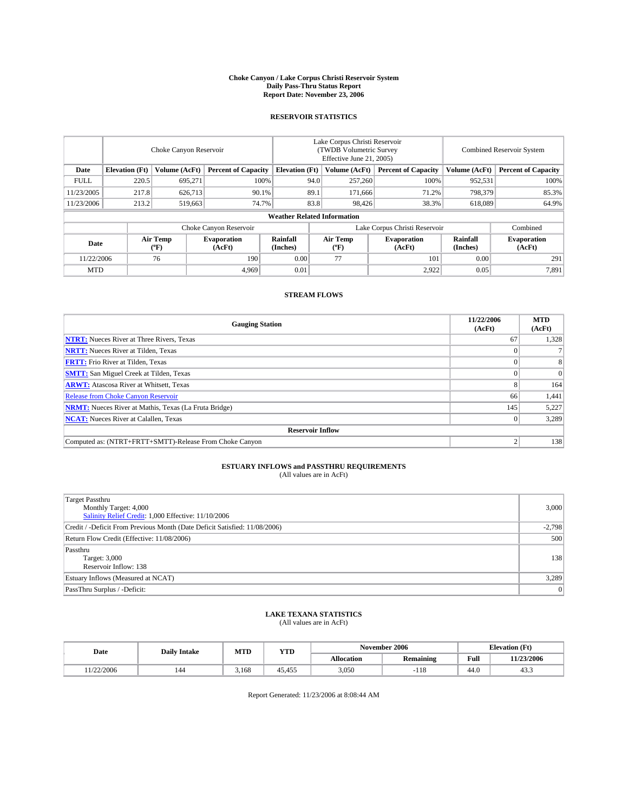#### **Choke Canyon / Lake Corpus Christi Reservoir System Daily Pass-Thru Status Report Report Date: November 23, 2006**

### **RESERVOIR STATISTICS**

|             | Choke Canyon Reservoir             |                         |                              |                       | Lake Corpus Christi Reservoir<br>(TWDB Volumetric Survey<br>Effective June 21, 2005) |                  |                               | Combined Reservoir System |                              |  |  |  |  |
|-------------|------------------------------------|-------------------------|------------------------------|-----------------------|--------------------------------------------------------------------------------------|------------------|-------------------------------|---------------------------|------------------------------|--|--|--|--|
| Date        | <b>Elevation</b> (Ft)              | Volume (AcFt)           | <b>Percent of Capacity</b>   | <b>Elevation</b> (Ft) |                                                                                      | Volume (AcFt)    | <b>Percent of Capacity</b>    | Volume (AcFt)             | <b>Percent of Capacity</b>   |  |  |  |  |
| <b>FULL</b> | 220.5                              | 695.271                 |                              | 100%                  | 94.0                                                                                 | 257,260          | 100%                          | 952,531                   | 100%                         |  |  |  |  |
| 11/23/2005  | 217.8                              | 626,713                 | 90.1%                        |                       | 89.1                                                                                 | 171,666          | 71.2%                         | 798,379                   | 85.3%                        |  |  |  |  |
| 11/23/2006  | 213.2                              | 519,663                 | 74.7%                        |                       | 83.8                                                                                 | 98,426           | 38.3%                         | 618,089                   | 64.9%                        |  |  |  |  |
|             | <b>Weather Related Information</b> |                         |                              |                       |                                                                                      |                  |                               |                           |                              |  |  |  |  |
|             |                                    |                         | Choke Canyon Reservoir       |                       |                                                                                      |                  | Lake Corpus Christi Reservoir |                           | Combined                     |  |  |  |  |
| Date        |                                    | <b>Air Temp</b><br>(°F) | <b>Evaporation</b><br>(AcFt) | Rainfall<br>(Inches)  |                                                                                      | Air Temp<br>("F) | <b>Evaporation</b><br>(AcFt)  | Rainfall<br>(Inches)      | <b>Evaporation</b><br>(AcFt) |  |  |  |  |
| 11/22/2006  |                                    | 76                      | 190                          | 0.00                  |                                                                                      | 77               | 101                           | 0.00                      | 291                          |  |  |  |  |
| <b>MTD</b>  |                                    |                         | 4,969                        | 0.01                  |                                                                                      |                  | 2,922                         | 0.05                      | 7,891                        |  |  |  |  |

## **STREAM FLOWS**

| <b>Gauging Station</b>                                       | 11/22/2006<br>(AcFt) | <b>MTD</b><br>(AcFt) |
|--------------------------------------------------------------|----------------------|----------------------|
| <b>NTRT:</b> Nueces River at Three Rivers, Texas             | 67                   | 1,328                |
| <b>NRTT:</b> Nueces River at Tilden, Texas                   |                      |                      |
| <b>FRTT:</b> Frio River at Tilden, Texas                     |                      | 8                    |
| <b>SMTT:</b> San Miguel Creek at Tilden, Texas               |                      | $\Omega$             |
| <b>ARWT:</b> Atascosa River at Whitsett, Texas               |                      | 164                  |
| <b>Release from Choke Canyon Reservoir</b>                   | 66                   | 1,441                |
| <b>NRMT:</b> Nueces River at Mathis, Texas (La Fruta Bridge) | 145                  | 5,227                |
| <b>NCAT:</b> Nueces River at Calallen, Texas                 |                      | 3,289                |
| <b>Reservoir Inflow</b>                                      |                      |                      |
| Computed as: (NTRT+FRTT+SMTT)-Release From Choke Canyon      |                      | 138                  |

## **ESTUARY INFLOWS and PASSTHRU REQUIREMENTS**<br>(All values are in AcFt)

| <b>Target Passthru</b><br>Monthly Target: 4,000<br>Salinity Relief Credit: 1,000 Effective: 11/10/2006 | 3,000    |
|--------------------------------------------------------------------------------------------------------|----------|
| Credit / -Deficit From Previous Month (Date Deficit Satisfied: 11/08/2006)                             | $-2,798$ |
| Return Flow Credit (Effective: 11/08/2006)                                                             | 500      |
| Passthru<br>Target: 3,000<br>Reservoir Inflow: 138                                                     | 138      |
| Estuary Inflows (Measured at NCAT)                                                                     | 3,289    |
| PassThru Surplus / -Deficit:                                                                           | 0        |

#### **LAKE TEXANA STATISTICS** (All values are in AcFt)

|  | Date      | <b>Daily Intake</b> | MTT<br>MIL | YTD    |            | November 2006            |      | <b>Elevation (Ft)</b> |
|--|-----------|---------------------|------------|--------|------------|--------------------------|------|-----------------------|
|  |           |                     |            |        | Allocation | <b>Remaining</b>         | Full | 11/23/2006            |
|  | 1/22/2006 | 144                 | .168       | 45.455 | 3,050      | 1 <sup>1</sup><br>$-110$ | 44.0 | 40.0                  |

Report Generated: 11/23/2006 at 8:08:44 AM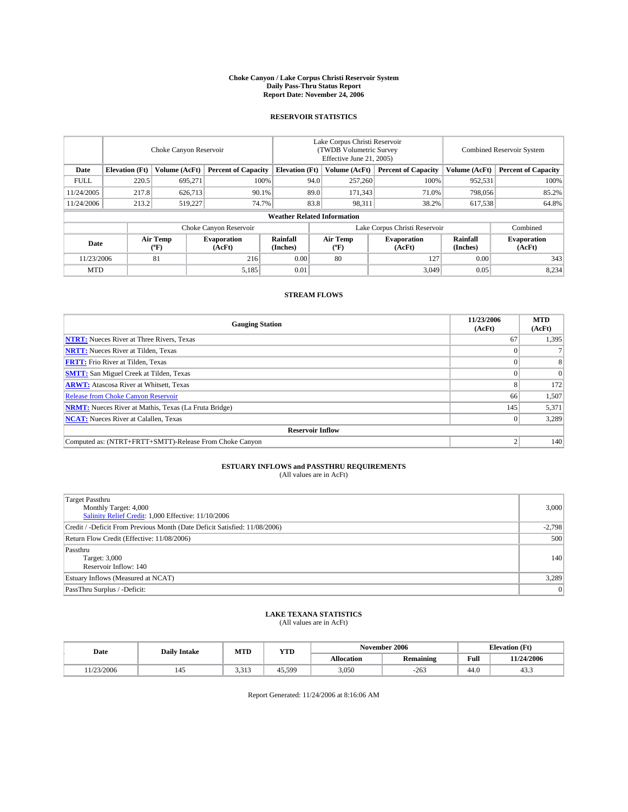#### **Choke Canyon / Lake Corpus Christi Reservoir System Daily Pass-Thru Status Report Report Date: November 24, 2006**

### **RESERVOIR STATISTICS**

|             | Choke Canyon Reservoir             |                         |                              |                       | Lake Corpus Christi Reservoir<br>(TWDB Volumetric Survey<br>Effective June 21, 2005) |                                           |                               |                      | Combined Reservoir System    |  |  |  |  |
|-------------|------------------------------------|-------------------------|------------------------------|-----------------------|--------------------------------------------------------------------------------------|-------------------------------------------|-------------------------------|----------------------|------------------------------|--|--|--|--|
| Date        | <b>Elevation</b> (Ft)              | Volume (AcFt)           | <b>Percent of Capacity</b>   | <b>Elevation</b> (Ft) |                                                                                      | Volume (AcFt)                             | <b>Percent of Capacity</b>    | Volume (AcFt)        | <b>Percent of Capacity</b>   |  |  |  |  |
| <b>FULL</b> | 220.5                              | 695.271                 | 100%                         |                       | 94.0                                                                                 | 257,260                                   | 100%                          | 952,531              | 100%                         |  |  |  |  |
| 11/24/2005  | 217.8                              | 626,713                 | 90.1%                        |                       | 89.0                                                                                 | 171,343                                   | 71.0%                         | 798,056              | 85.2%                        |  |  |  |  |
| 11/24/2006  | 213.2                              | 519.227                 | 74.7%                        |                       | 83.8                                                                                 | 98,311                                    | 38.2%                         | 617,538              | 64.8%                        |  |  |  |  |
|             | <b>Weather Related Information</b> |                         |                              |                       |                                                                                      |                                           |                               |                      |                              |  |  |  |  |
|             |                                    |                         | Choke Canyon Reservoir       |                       |                                                                                      |                                           | Lake Corpus Christi Reservoir |                      | Combined                     |  |  |  |  |
| Date        |                                    | <b>Air Temp</b><br>(°F) | <b>Evaporation</b><br>(AcFt) | Rainfall<br>(Inches)  |                                                                                      | Air Temp<br>$({}^{\mathrm{o}}\mathrm{F})$ | <b>Evaporation</b><br>(AcFt)  | Rainfall<br>(Inches) | <b>Evaporation</b><br>(AcFt) |  |  |  |  |
| 11/23/2006  |                                    | 81                      | 216                          | 0.00                  |                                                                                      | 80                                        | 127                           | 0.00                 | 343                          |  |  |  |  |
| <b>MTD</b>  |                                    |                         | 5,185                        | 0.01                  |                                                                                      |                                           | 3,049                         | 0.05                 | 8,234                        |  |  |  |  |

## **STREAM FLOWS**

| <b>Gauging Station</b>                                       | 11/23/2006<br>(AcFt) | <b>MTD</b><br>(AcFt) |
|--------------------------------------------------------------|----------------------|----------------------|
| <b>NTRT:</b> Nueces River at Three Rivers, Texas             | 67                   | 1,395                |
| <b>NRTT:</b> Nueces River at Tilden, Texas                   |                      |                      |
| <b>FRTT:</b> Frio River at Tilden, Texas                     |                      | 8                    |
| <b>SMTT:</b> San Miguel Creek at Tilden, Texas               |                      | $\Omega$             |
| <b>ARWT:</b> Atascosa River at Whitsett, Texas               |                      | 172                  |
| <b>Release from Choke Canyon Reservoir</b>                   | 66                   | 1,507                |
| <b>NRMT:</b> Nueces River at Mathis, Texas (La Fruta Bridge) | 145                  | 5,371                |
| <b>NCAT:</b> Nueces River at Calallen, Texas                 |                      | 3,289                |
| <b>Reservoir Inflow</b>                                      |                      |                      |
| Computed as: (NTRT+FRTT+SMTT)-Release From Choke Canyon      |                      | 140                  |

## **ESTUARY INFLOWS and PASSTHRU REQUIREMENTS**<br>(All values are in AcFt)

| <b>Target Passthru</b><br>Monthly Target: 4,000<br>Salinity Relief Credit: 1,000 Effective: 11/10/2006 | 3,000    |
|--------------------------------------------------------------------------------------------------------|----------|
| Credit / -Deficit From Previous Month (Date Deficit Satisfied: 11/08/2006)                             | $-2,798$ |
| Return Flow Credit (Effective: 11/08/2006)                                                             | 500      |
| Passthru<br>Target: 3,000<br>Reservoir Inflow: 140                                                     | 140      |
| Estuary Inflows (Measured at NCAT)                                                                     | 3,289    |
| PassThru Surplus / -Deficit:                                                                           | 0        |

#### **LAKE TEXANA STATISTICS** (All values are in AcFt)

| Date      | <b>Daily Intake</b> | MTD            | <b>YTD</b> |            | November 2006    |      | <b>Elevation</b> (Ft) |
|-----------|---------------------|----------------|------------|------------|------------------|------|-----------------------|
|           |                     |                |            | Allocation | <b>Remaining</b> | Full | 11/24/2006            |
| 1/23/2006 | 145                 | 2.212<br>د، د. | 45.599     | 3,050      | $-263$           | 44.0 | 43.3                  |

Report Generated: 11/24/2006 at 8:16:06 AM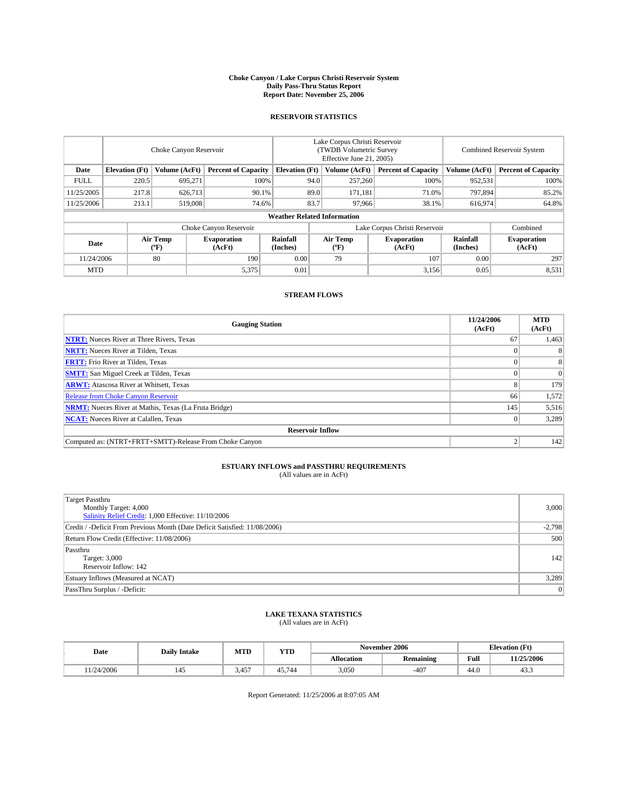#### **Choke Canyon / Lake Corpus Christi Reservoir System Daily Pass-Thru Status Report Report Date: November 25, 2006**

### **RESERVOIR STATISTICS**

|             | Choke Canyon Reservoir                                               |                         |                              |                      | Lake Corpus Christi Reservoir<br>(TWDB Volumetric Survey<br>Effective June 21, 2005) |                            |                               |                            | Combined Reservoir System    |  |  |  |
|-------------|----------------------------------------------------------------------|-------------------------|------------------------------|----------------------|--------------------------------------------------------------------------------------|----------------------------|-------------------------------|----------------------------|------------------------------|--|--|--|
| Date        | Volume (AcFt)<br><b>Elevation</b> (Ft)<br><b>Percent of Capacity</b> |                         | <b>Elevation</b> (Ft)        |                      | Volume (AcFt)                                                                        | <b>Percent of Capacity</b> | Volume (AcFt)                 | <b>Percent of Capacity</b> |                              |  |  |  |
| <b>FULL</b> | 220.5                                                                | 695.271                 |                              | 100%                 | 94.0                                                                                 | 257,260                    | 100%                          | 952,531                    | 100%                         |  |  |  |
| 11/25/2005  | 217.8                                                                | 626,713                 | 90.1%                        |                      | 89.0                                                                                 | 171.181                    | 71.0%                         | 797.894                    | 85.2%                        |  |  |  |
| 11/25/2006  | 213.1                                                                | 519,008                 | 74.6%                        |                      | 83.7                                                                                 | 97.966                     | 38.1%                         | 616,974                    | 64.8%                        |  |  |  |
|             | <b>Weather Related Information</b>                                   |                         |                              |                      |                                                                                      |                            |                               |                            |                              |  |  |  |
|             |                                                                      |                         | Choke Canyon Reservoir       |                      |                                                                                      |                            | Lake Corpus Christi Reservoir |                            | Combined                     |  |  |  |
| Date        |                                                                      | <b>Air Temp</b><br>(°F) | <b>Evaporation</b><br>(AcFt) | Rainfall<br>(Inches) |                                                                                      | Air Temp<br>("F)           | <b>Evaporation</b><br>(AcFt)  | Rainfall<br>(Inches)       | <b>Evaporation</b><br>(AcFt) |  |  |  |
| 11/24/2006  |                                                                      | 80                      | 190                          | 0.00                 |                                                                                      | 79                         | 107                           | 0.00                       | 297                          |  |  |  |
| <b>MTD</b>  |                                                                      |                         | 5,375                        | 0.01                 |                                                                                      |                            | 3,156                         | 0.05                       | 8,531                        |  |  |  |

## **STREAM FLOWS**

| <b>Gauging Station</b>                                       | 11/24/2006<br>(AcFt) | <b>MTD</b><br>(AcFt) |
|--------------------------------------------------------------|----------------------|----------------------|
| <b>NTRT:</b> Nueces River at Three Rivers, Texas             | 67                   | 1,463                |
| <b>NRTT:</b> Nueces River at Tilden, Texas                   |                      | 8                    |
| <b>FRTT:</b> Frio River at Tilden, Texas                     |                      | 8                    |
| <b>SMTT:</b> San Miguel Creek at Tilden, Texas               |                      | $\Omega$             |
| <b>ARWT:</b> Atascosa River at Whitsett, Texas               |                      | 179                  |
| <b>Release from Choke Canyon Reservoir</b>                   | 66                   | 1,572                |
| <b>NRMT:</b> Nueces River at Mathis, Texas (La Fruta Bridge) | 145                  | 5,516                |
| <b>NCAT:</b> Nueces River at Calallen, Texas                 |                      | 3,289                |
| <b>Reservoir Inflow</b>                                      |                      |                      |
| Computed as: (NTRT+FRTT+SMTT)-Release From Choke Canyon      |                      | 142                  |

## **ESTUARY INFLOWS and PASSTHRU REQUIREMENTS**<br>(All values are in AcFt)

| <b>Target Passthru</b><br>Monthly Target: 4,000<br>Salinity Relief Credit: 1,000 Effective: 11/10/2006 | 3,000    |
|--------------------------------------------------------------------------------------------------------|----------|
| Credit / -Deficit From Previous Month (Date Deficit Satisfied: 11/08/2006)                             | $-2,798$ |
| Return Flow Credit (Effective: 11/08/2006)                                                             | 500      |
| Passthru<br>Target: 3,000<br>Reservoir Inflow: 142                                                     | 142      |
| Estuary Inflows (Measured at NCAT)                                                                     | 3,289    |
| PassThru Surplus / -Deficit:                                                                           | $\Omega$ |

#### **LAKE TEXANA STATISTICS** (All values are in AcFt)

|  | Date      | <b>Daily Intake</b> | MTT<br>MIL | YTD    |            | November 2006    |      | <b>Elevation (Ft)</b> |
|--|-----------|---------------------|------------|--------|------------|------------------|------|-----------------------|
|  |           |                     |            |        | Allocation | <b>Remaining</b> | Full | 11/25/2006            |
|  | 1/24/2006 |                     | 3.457      | 45.744 | 3,050      | $-407$           | 44.0 | 40.0                  |

Report Generated: 11/25/2006 at 8:07:05 AM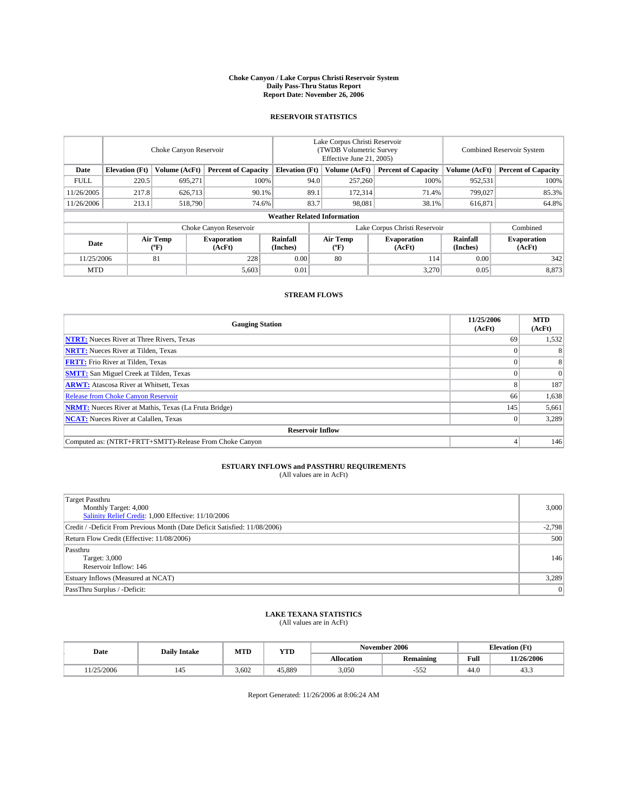#### **Choke Canyon / Lake Corpus Christi Reservoir System Daily Pass-Thru Status Report Report Date: November 26, 2006**

### **RESERVOIR STATISTICS**

|             | Choke Canyon Reservoir                                               |                         |                              |                      | Lake Corpus Christi Reservoir<br>(TWDB Volumetric Survey<br>Effective June 21, 2005) |                            |                               |                            | Combined Reservoir System    |  |  |  |
|-------------|----------------------------------------------------------------------|-------------------------|------------------------------|----------------------|--------------------------------------------------------------------------------------|----------------------------|-------------------------------|----------------------------|------------------------------|--|--|--|
| Date        | Volume (AcFt)<br><b>Elevation</b> (Ft)<br><b>Percent of Capacity</b> |                         | <b>Elevation</b> (Ft)        |                      | Volume (AcFt)                                                                        | <b>Percent of Capacity</b> | Volume (AcFt)                 | <b>Percent of Capacity</b> |                              |  |  |  |
| <b>FULL</b> | 220.5                                                                | 695.271                 | 100%                         |                      | 94.0                                                                                 | 257,260                    | 100%                          | 952,531                    | 100%                         |  |  |  |
| 11/26/2005  | 217.8                                                                | 626,713                 | 90.1%                        |                      | 89.1                                                                                 | 172,314                    | 71.4%                         | 799,027                    | 85.3%                        |  |  |  |
| 11/26/2006  | 213.1                                                                | 518,790                 | 74.6%                        |                      | 83.7                                                                                 | 98.081                     | 38.1%                         | 616,871                    | 64.8%                        |  |  |  |
|             | <b>Weather Related Information</b>                                   |                         |                              |                      |                                                                                      |                            |                               |                            |                              |  |  |  |
|             |                                                                      |                         | Choke Canyon Reservoir       |                      |                                                                                      |                            | Lake Corpus Christi Reservoir |                            | Combined                     |  |  |  |
| Date        |                                                                      | <b>Air Temp</b><br>(°F) | <b>Evaporation</b><br>(AcFt) | Rainfall<br>(Inches) |                                                                                      | Air Temp<br>("F)           | <b>Evaporation</b><br>(AcFt)  | Rainfall<br>(Inches)       | <b>Evaporation</b><br>(AcFt) |  |  |  |
| 11/25/2006  |                                                                      | 81                      | 228                          | 0.00                 |                                                                                      | 80                         | 114                           | 0.00                       | 342                          |  |  |  |
| <b>MTD</b>  |                                                                      |                         | 5,603                        | 0.01                 |                                                                                      |                            | 3,270                         | 0.05                       | 8,873                        |  |  |  |

## **STREAM FLOWS**

| <b>Gauging Station</b>                                       | 11/25/2006<br>(AcFt) | <b>MTD</b><br>(AcFt) |
|--------------------------------------------------------------|----------------------|----------------------|
| <b>NTRT:</b> Nueces River at Three Rivers, Texas             | 69                   | 1,532                |
| <b>NRTT:</b> Nueces River at Tilden, Texas                   |                      | 8                    |
| <b>FRTT:</b> Frio River at Tilden, Texas                     |                      | 8                    |
| <b>SMTT:</b> San Miguel Creek at Tilden, Texas               |                      | $\mathbf{0}$         |
| <b>ARWT:</b> Atascosa River at Whitsett, Texas               |                      | 187                  |
| <b>Release from Choke Canyon Reservoir</b>                   | 66                   | 1,638                |
| <b>NRMT:</b> Nueces River at Mathis, Texas (La Fruta Bridge) | 145                  | 5,661                |
| <b>NCAT:</b> Nueces River at Calallen, Texas                 |                      | 3,289                |
| <b>Reservoir Inflow</b>                                      |                      |                      |
| Computed as: (NTRT+FRTT+SMTT)-Release From Choke Canyon      |                      | 146                  |

## **ESTUARY INFLOWS and PASSTHRU REQUIREMENTS**<br>(All values are in AcFt)

| <b>Target Passthru</b><br>Monthly Target: 4,000<br>Salinity Relief Credit: 1,000 Effective: 11/10/2006 | 3,000    |
|--------------------------------------------------------------------------------------------------------|----------|
| Credit / -Deficit From Previous Month (Date Deficit Satisfied: 11/08/2006)                             | $-2,798$ |
| Return Flow Credit (Effective: 11/08/2006)                                                             | 500      |
| Passthru<br>Target: 3,000<br>Reservoir Inflow: 146                                                     | 146      |
| Estuary Inflows (Measured at NCAT)                                                                     | 3,289    |
| PassThru Surplus / -Deficit:                                                                           | 0        |

#### **LAKE TEXANA STATISTICS** (All values are in AcFt)

|  | Date      | <b>Daily Intake</b> | MTT<br>MIL | YTD    |            | November 2006         |      | <b>Elevation (Ft)</b> |
|--|-----------|---------------------|------------|--------|------------|-----------------------|------|-----------------------|
|  |           |                     |            |        | Allocation | <b>Remaining</b>      | Full | 11/26/2006            |
|  | 1/25/2006 |                     | 3.602      | 45.889 | 3,050      | $- - -$<br>55<br>-224 | 44.0 | 40.0                  |

Report Generated: 11/26/2006 at 8:06:24 AM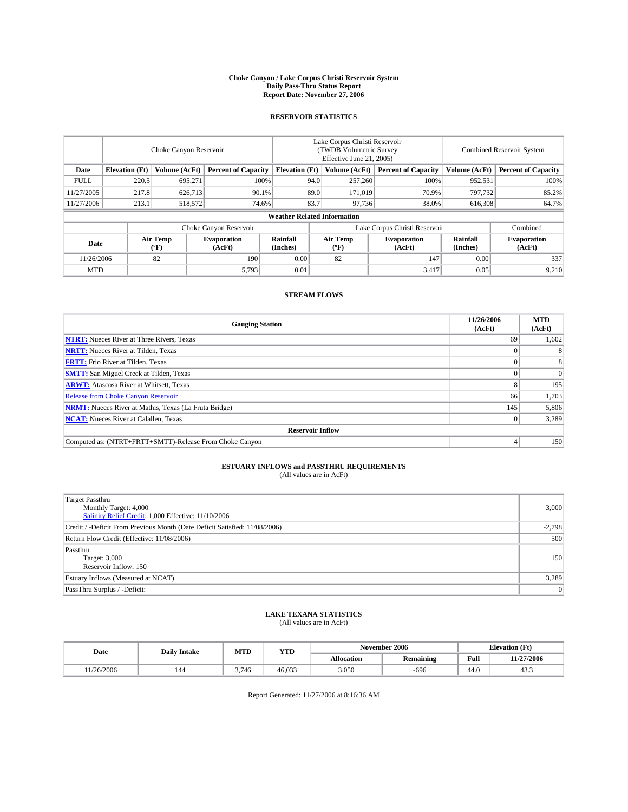#### **Choke Canyon / Lake Corpus Christi Reservoir System Daily Pass-Thru Status Report Report Date: November 27, 2006**

### **RESERVOIR STATISTICS**

|             | Choke Canyon Reservoir             |                         |                              |                       | Lake Corpus Christi Reservoir<br>(TWDB Volumetric Survey<br>Effective June 21, 2005) |                                           |                               |                      | Combined Reservoir System    |  |  |  |
|-------------|------------------------------------|-------------------------|------------------------------|-----------------------|--------------------------------------------------------------------------------------|-------------------------------------------|-------------------------------|----------------------|------------------------------|--|--|--|
| Date        | <b>Elevation</b> (Ft)              | Volume (AcFt)           | <b>Percent of Capacity</b>   | <b>Elevation</b> (Ft) |                                                                                      | Volume (AcFt)                             | <b>Percent of Capacity</b>    | Volume (AcFt)        | <b>Percent of Capacity</b>   |  |  |  |
| <b>FULL</b> | 220.5                              | 695.271                 | 100%                         |                       | 94.0                                                                                 | 257,260                                   | 100%                          | 952,531              | 100%                         |  |  |  |
| 11/27/2005  | 217.8                              | 626,713                 | 90.1%                        |                       | 89.0                                                                                 | 171.019                                   | 70.9%                         | 797,732              | 85.2%                        |  |  |  |
| 11/27/2006  | 213.1                              | 518,572                 | 74.6%                        |                       | 83.7                                                                                 | 97,736                                    | 38.0%                         | 616,308              | 64.7%                        |  |  |  |
|             | <b>Weather Related Information</b> |                         |                              |                       |                                                                                      |                                           |                               |                      |                              |  |  |  |
|             |                                    |                         | Choke Canyon Reservoir       |                       |                                                                                      |                                           | Lake Corpus Christi Reservoir |                      | Combined                     |  |  |  |
| Date        |                                    | <b>Air Temp</b><br>(°F) | <b>Evaporation</b><br>(AcFt) | Rainfall<br>(Inches)  |                                                                                      | Air Temp<br>$({}^{\mathrm{o}}\mathrm{F})$ | <b>Evaporation</b><br>(AcFt)  | Rainfall<br>(Inches) | <b>Evaporation</b><br>(AcFt) |  |  |  |
| 11/26/2006  |                                    | 82                      | 190                          | 0.00                  |                                                                                      | 82                                        | 147                           | 0.00                 | 337                          |  |  |  |
| <b>MTD</b>  |                                    |                         | 5,793                        | 0.01                  |                                                                                      |                                           | 3,417                         | 0.05                 | 9,210                        |  |  |  |

## **STREAM FLOWS**

| <b>Gauging Station</b>                                       | 11/26/2006<br>(AcFt) | <b>MTD</b><br>(AcFt) |
|--------------------------------------------------------------|----------------------|----------------------|
| <b>NTRT:</b> Nueces River at Three Rivers, Texas             | 69                   | 1,602                |
| <b>NRTT:</b> Nueces River at Tilden, Texas                   |                      | 8                    |
| <b>FRTT:</b> Frio River at Tilden, Texas                     |                      | 8                    |
| <b>SMTT:</b> San Miguel Creek at Tilden, Texas               |                      | $\mathbf{0}$         |
| <b>ARWT:</b> Atascosa River at Whitsett, Texas               |                      | 195                  |
| <b>Release from Choke Canyon Reservoir</b>                   | 66                   | 1,703                |
| <b>NRMT:</b> Nueces River at Mathis, Texas (La Fruta Bridge) | 145                  | 5,806                |
| <b>NCAT:</b> Nueces River at Calallen, Texas                 |                      | 3,289                |
| <b>Reservoir Inflow</b>                                      |                      |                      |
| Computed as: (NTRT+FRTT+SMTT)-Release From Choke Canyon      |                      | 150                  |

## **ESTUARY INFLOWS and PASSTHRU REQUIREMENTS**<br>(All values are in AcFt)

| <b>Target Passthru</b><br>Monthly Target: 4,000<br>Salinity Relief Credit: 1,000 Effective: 11/10/2006 | 3,000    |
|--------------------------------------------------------------------------------------------------------|----------|
| Credit / -Deficit From Previous Month (Date Deficit Satisfied: 11/08/2006)                             | $-2,798$ |
| Return Flow Credit (Effective: 11/08/2006)                                                             | 500      |
| Passthru<br>Target: 3,000<br>Reservoir Inflow: 150                                                     | 150      |
| Estuary Inflows (Measured at NCAT)                                                                     | 3,289    |
| PassThru Surplus / -Deficit:                                                                           | 0        |

#### **LAKE TEXANA STATISTICS** (All values are in AcFt)

|  | Date      | <b>Daily Intake</b> | MTT<br>MIL | YTD    |            | November 2006    |      | <b>Elevation (Ft)</b> |
|--|-----------|---------------------|------------|--------|------------|------------------|------|-----------------------|
|  |           |                     |            |        | Allocation | <b>Remaining</b> | Full | 11/27/2006            |
|  | 1/26/2006 | 144                 | 3.746      | 46,033 | 3,050      | $-696$           | 44.0 | 40.0                  |

Report Generated: 11/27/2006 at 8:16:36 AM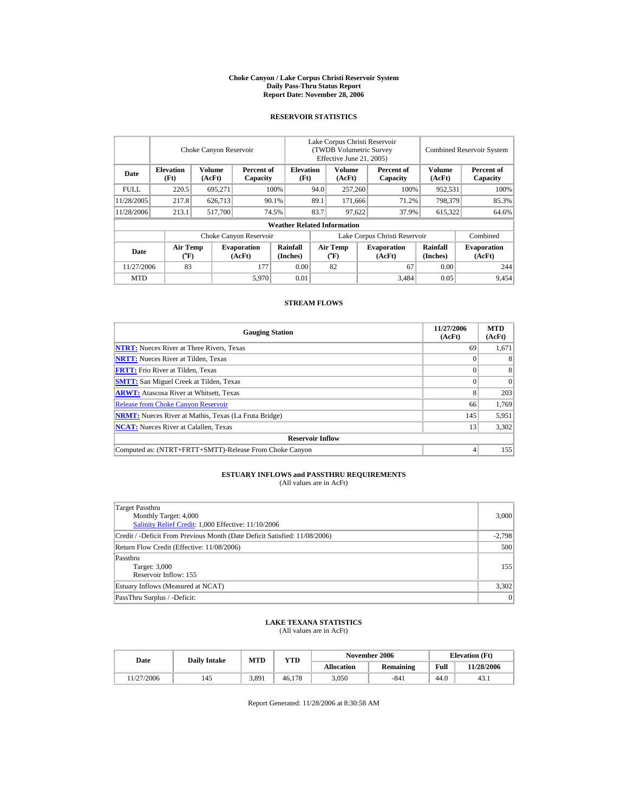#### **Choke Canyon / Lake Corpus Christi Reservoir System Daily Pass-Thru Status Report Report Date: November 28, 2006**

### **RESERVOIR STATISTICS**

|             |                                             | Choke Canyon Reservoir |                              |                                    | Lake Corpus Christi Reservoir<br>(TWDB Volumetric Survey<br>Effective June 21, 2005) |                                           |  |                               |                      | Combined Reservoir System    |
|-------------|---------------------------------------------|------------------------|------------------------------|------------------------------------|--------------------------------------------------------------------------------------|-------------------------------------------|--|-------------------------------|----------------------|------------------------------|
| Date        | <b>Elevation</b><br>(Ft)                    | Volume<br>(AcFt)       | Percent of<br>Capacity       | <b>Elevation</b><br>(Ft)           | Volume<br>(AcFt)                                                                     |                                           |  | Percent of<br>Capacity        | Volume<br>(AcFt)     | Percent of<br>Capacity       |
| <b>FULL</b> | 220.5                                       | 695.271                |                              | 100%                               | 94.0                                                                                 | 257,260                                   |  | 100%                          | 952,531              | 100%                         |
| 11/28/2005  | 217.8                                       | 626,713                |                              | 90.1%                              | 89.1                                                                                 | 171.666                                   |  | 71.2%                         | 798.379              | 85.3%                        |
| 11/28/2006  | 213.1                                       | 517,700                |                              | 74.5%                              | 83.7                                                                                 | 97,622                                    |  | 37.9%                         | 615,322              | 64.6%                        |
|             |                                             |                        |                              | <b>Weather Related Information</b> |                                                                                      |                                           |  |                               |                      |                              |
|             |                                             |                        | Choke Canyon Reservoir       |                                    |                                                                                      |                                           |  | Lake Corpus Christi Reservoir |                      | Combined                     |
| Date        | <b>Air Temp</b><br>$({}^{\circ}\mathbf{F})$ |                        | <b>Evaporation</b><br>(AcFt) | Rainfall<br>(Inches)               |                                                                                      | <b>Air Temp</b><br>$({}^{\circ}\text{F})$ |  | <b>Evaporation</b><br>(AcFt)  | Rainfall<br>(Inches) | <b>Evaporation</b><br>(AcFt) |
| 11/27/2006  | 83                                          |                        | 177                          | 0.00                               |                                                                                      | 82                                        |  | 67                            | 0.00                 | 244                          |
| <b>MTD</b>  |                                             |                        | 5,970                        | 0.01                               |                                                                                      |                                           |  | 3,484                         | 0.05                 | 9,454                        |

#### **STREAM FLOWS**

| <b>Gauging Station</b>                                       | 11/27/2006<br>(AcFt) | <b>MTD</b><br>(AcFt) |  |  |  |  |  |  |
|--------------------------------------------------------------|----------------------|----------------------|--|--|--|--|--|--|
| <b>NTRT:</b> Nueces River at Three Rivers, Texas             | 69                   | 1,671                |  |  |  |  |  |  |
| <b>NRTT:</b> Nueces River at Tilden, Texas                   |                      | 8                    |  |  |  |  |  |  |
| <b>FRTT:</b> Frio River at Tilden, Texas                     | $\Omega$             | 8                    |  |  |  |  |  |  |
| <b>SMTT:</b> San Miguel Creek at Tilden, Texas               |                      | $\Omega$             |  |  |  |  |  |  |
| <b>ARWT:</b> Atascosa River at Whitsett, Texas               | 8                    | 203                  |  |  |  |  |  |  |
| <b>Release from Choke Canyon Reservoir</b>                   | 66                   | 1.769                |  |  |  |  |  |  |
| <b>NRMT:</b> Nueces River at Mathis, Texas (La Fruta Bridge) | 145                  | 5,951                |  |  |  |  |  |  |
| <b>NCAT:</b> Nueces River at Calallen, Texas                 | 13                   | 3,302                |  |  |  |  |  |  |
| <b>Reservoir Inflow</b>                                      |                      |                      |  |  |  |  |  |  |
| Computed as: (NTRT+FRTT+SMTT)-Release From Choke Canyon      |                      | 155                  |  |  |  |  |  |  |

## **ESTUARY INFLOWS and PASSTHRU REQUIREMENTS**<br>(All values are in AcFt)

| Target Passthru<br>Monthly Target: 4,000<br>Salinity Relief Credit: 1,000 Effective: 11/10/2006 | 3,000    |
|-------------------------------------------------------------------------------------------------|----------|
| Credit / -Deficit From Previous Month (Date Deficit Satisfied: 11/08/2006)                      | $-2.798$ |
| Return Flow Credit (Effective: 11/08/2006)                                                      | 500      |
| Passthru<br>Target: 3,000<br>Reservoir Inflow: 155                                              | 155      |
| Estuary Inflows (Measured at NCAT)                                                              | 3,302    |
| PassThru Surplus / -Deficit:                                                                    | 0        |

## **LAKE TEXANA STATISTICS** (All values are in AcFt)

| Date      | <b>Daily Intake</b> | MTD   | <b>YTD</b> |            | November 2006    | <b>Elevation</b> (Ft) |            |
|-----------|---------------------|-------|------------|------------|------------------|-----------------------|------------|
|           |                     |       |            | Allocation | <b>Remaining</b> | Full                  | 11/28/2006 |
| 1/27/2006 | 145                 | 3.891 | 46.178     | 3,050      | -841             | 44.0                  | 43.1       |

Report Generated: 11/28/2006 at 8:30:58 AM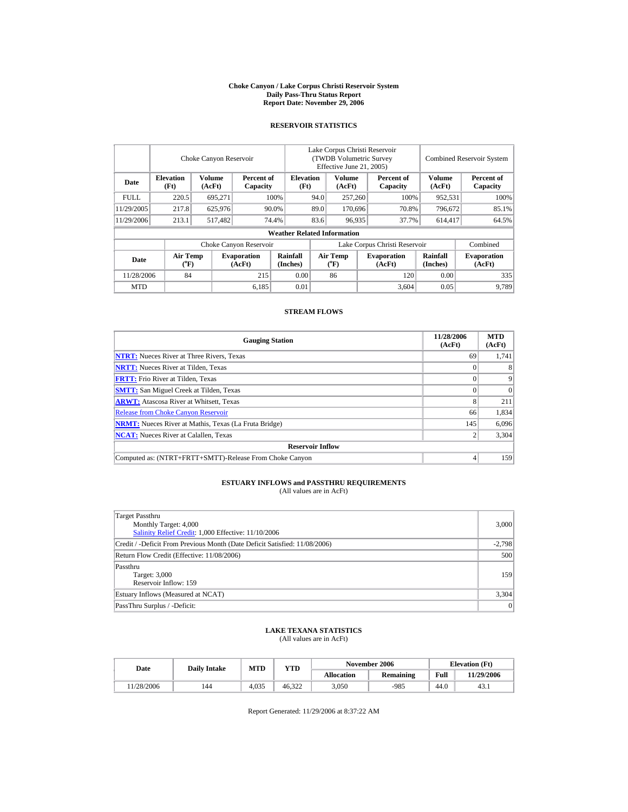#### **Choke Canyon / Lake Corpus Christi Reservoir System Daily Pass-Thru Status Report Report Date: November 29, 2006**

## **RESERVOIR STATISTICS**

|             |                                      | Choke Canyon Reservoir |                              |                                    | Lake Corpus Christi Reservoir<br>(TWDB Volumetric Survey<br>Effective June 21, 2005) |                                |  |                               | <b>Combined Reservoir System</b> |                              |  |
|-------------|--------------------------------------|------------------------|------------------------------|------------------------------------|--------------------------------------------------------------------------------------|--------------------------------|--|-------------------------------|----------------------------------|------------------------------|--|
| Date        | <b>Elevation</b><br>(Ft)             | Volume<br>(AcFt)       | Percent of<br>Capacity       | <b>Elevation</b><br>(Ft)           |                                                                                      | Volume<br>(AcFt)               |  | Percent of<br>Capacity        | <b>Volume</b><br>(AcFt)          | Percent of<br>Capacity       |  |
| <b>FULL</b> | 220.5                                | 695,271                |                              | 100%                               | 94.0                                                                                 | 257,260                        |  | 100%                          | 952,531                          | 100%                         |  |
| 11/29/2005  | 217.8                                | 625,976                |                              | 90.0%                              | 89.0                                                                                 | 170,696                        |  | 70.8%                         | 796,672                          | 85.1%                        |  |
| 11/29/2006  | 213.1                                | 517,482                |                              | 74.4%                              | 83.6                                                                                 | 96,935                         |  | 37.7%                         | 614,417                          | 64.5%                        |  |
|             |                                      |                        |                              | <b>Weather Related Information</b> |                                                                                      |                                |  |                               |                                  |                              |  |
|             |                                      |                        | Choke Canyon Reservoir       |                                    |                                                                                      |                                |  | Lake Corpus Christi Reservoir |                                  | Combined                     |  |
| Date        | Air Temp<br>$({}^{\circ}\mathrm{F})$ |                        | <b>Evaporation</b><br>(AcFt) | <b>Rainfall</b><br>(Inches)        |                                                                                      | Air Temp<br>$({}^o\mathrm{F})$ |  | <b>Evaporation</b><br>(AcFt)  | Rainfall<br>(Inches)             | <b>Evaporation</b><br>(AcFt) |  |
| 11/28/2006  | 84                                   |                        | 215                          | 0.00                               |                                                                                      | 86                             |  | 120                           | 0.00                             | 335                          |  |
| <b>MTD</b>  |                                      |                        | 6,185                        | 0.01                               |                                                                                      |                                |  | 3.604                         | 0.05                             | 9,789                        |  |

## **STREAM FLOWS**

| <b>Gauging Station</b>                                       | 11/28/2006<br>(AcFt) | <b>MTD</b><br>(AcFt) |
|--------------------------------------------------------------|----------------------|----------------------|
| <b>NTRT:</b> Nueces River at Three Rivers, Texas             | 69                   | 1,741                |
| <b>NRTT:</b> Nueces River at Tilden, Texas                   |                      |                      |
| <b>FRTT:</b> Frio River at Tilden, Texas                     | $\Omega$             | 9                    |
| <b>SMTT:</b> San Miguel Creek at Tilden, Texas               |                      | $\Omega$             |
| <b>ARWT:</b> Atascosa River at Whitsett, Texas               | 8                    | 211                  |
| <b>Release from Choke Canyon Reservoir</b>                   | 66                   | 1,834                |
| <b>NRMT:</b> Nueces River at Mathis, Texas (La Fruta Bridge) | 145                  | 6.096                |
| <b>NCAT:</b> Nueces River at Calallen, Texas                 |                      | 3,304                |
| <b>Reservoir Inflow</b>                                      |                      |                      |
| Computed as: (NTRT+FRTT+SMTT)-Release From Choke Canyon      | 4                    | 159                  |

## **ESTUARY INFLOWS and PASSTHRU REQUIREMENTS**<br>(All values are in AcFt)

| Target Passthru<br>Monthly Target: 4,000<br>Salinity Relief Credit: 1,000 Effective: 11/10/2006 | 3,000           |
|-------------------------------------------------------------------------------------------------|-----------------|
| Credit / -Deficit From Previous Month (Date Deficit Satisfied: 11/08/2006)                      | $-2,798$        |
| Return Flow Credit (Effective: 11/08/2006)                                                      | 500             |
| Passthru<br>Target: 3,000<br>Reservoir Inflow: 159                                              | 159             |
| Estuary Inflows (Measured at NCAT)                                                              | 3,304           |
| PassThru Surplus / -Deficit:                                                                    | $\vert 0 \vert$ |

## **LAKE TEXANA STATISTICS** (All values are in AcFt)

| Date       | <b>Daily Intake</b> | <b>MTD</b> | <b>YTD</b> |                   | November 2006 | <b>Elevation</b> (Ft) |            |
|------------|---------------------|------------|------------|-------------------|---------------|-----------------------|------------|
|            |                     |            |            | <b>Allocation</b> | Remaining     | Full                  | 11/29/2006 |
| 11/28/2006 | 144                 | 4.035      | 46.322     | 3,050             | $-985$        | 44.0                  | 43.1       |

Report Generated: 11/29/2006 at 8:37:22 AM